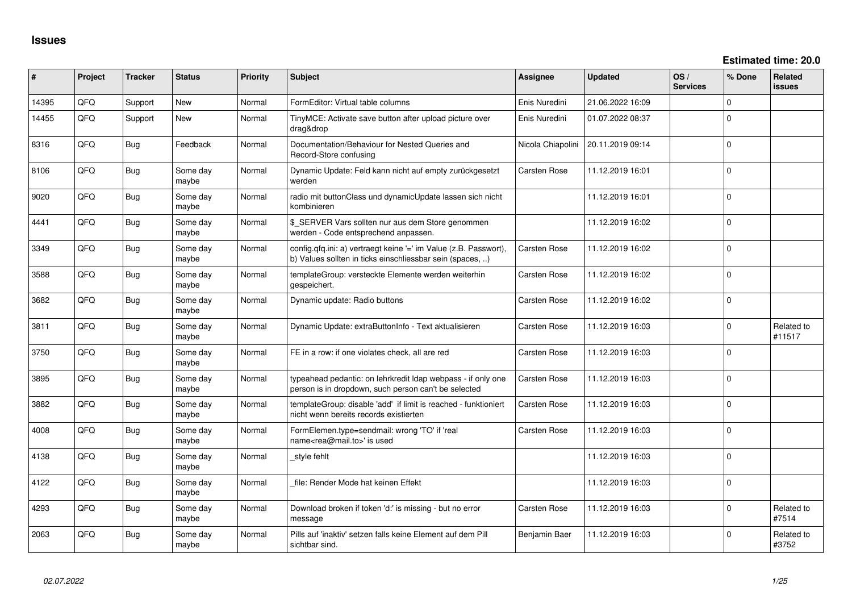| #     | Project | <b>Tracker</b> | <b>Status</b>     | <b>Priority</b> | Subject                                                                                                                       | <b>Assignee</b>     | <b>Updated</b>   | OS/<br><b>Services</b> | % Done       | <b>Related</b><br><b>issues</b> |
|-------|---------|----------------|-------------------|-----------------|-------------------------------------------------------------------------------------------------------------------------------|---------------------|------------------|------------------------|--------------|---------------------------------|
| 14395 | QFQ     | Support        | <b>New</b>        | Normal          | FormEditor: Virtual table columns                                                                                             | Enis Nuredini       | 21.06.2022 16:09 |                        | $\mathbf{0}$ |                                 |
| 14455 | QFQ     | Support        | New               | Normal          | TinyMCE: Activate save button after upload picture over<br>drag&drop                                                          | Enis Nuredini       | 01.07.2022 08:37 |                        | $\mathbf{0}$ |                                 |
| 8316  | QFQ     | Bug            | Feedback          | Normal          | Documentation/Behaviour for Nested Queries and<br>Record-Store confusing                                                      | Nicola Chiapolini   | 20.11.2019 09:14 |                        | $\mathbf{0}$ |                                 |
| 8106  | QFQ     | <b>Bug</b>     | Some day<br>maybe | Normal          | Dynamic Update: Feld kann nicht auf empty zurückgesetzt<br>werden                                                             | Carsten Rose        | 11.12.2019 16:01 |                        | $\mathbf{0}$ |                                 |
| 9020  | QFQ     | <b>Bug</b>     | Some day<br>maybe | Normal          | radio mit buttonClass und dynamicUpdate lassen sich nicht<br>kombinieren                                                      |                     | 11.12.2019 16:01 |                        | 0            |                                 |
| 4441  | QFQ     | <b>Bug</b>     | Some day<br>maybe | Normal          | \$_SERVER Vars sollten nur aus dem Store genommen<br>werden - Code entsprechend anpassen.                                     |                     | 11.12.2019 16:02 |                        | $\mathbf{0}$ |                                 |
| 3349  | QFQ     | Bug            | Some day<br>maybe | Normal          | config.qfq.ini: a) vertraegt keine '=' im Value (z.B. Passwort),<br>b) Values sollten in ticks einschliessbar sein (spaces, ) | <b>Carsten Rose</b> | 11.12.2019 16:02 |                        | 0            |                                 |
| 3588  | QFQ     | Bug            | Some day<br>maybe | Normal          | templateGroup: versteckte Elemente werden weiterhin<br>gespeichert.                                                           | <b>Carsten Rose</b> | 11.12.2019 16:02 |                        | $\Omega$     |                                 |
| 3682  | QFQ     | Bug            | Some day<br>maybe | Normal          | Dynamic update: Radio buttons                                                                                                 | <b>Carsten Rose</b> | 11.12.2019 16:02 |                        | $\Omega$     |                                 |
| 3811  | QFQ     | <b>Bug</b>     | Some day<br>maybe | Normal          | Dynamic Update: extraButtonInfo - Text aktualisieren                                                                          | <b>Carsten Rose</b> | 11.12.2019 16:03 |                        | $\Omega$     | Related to<br>#11517            |
| 3750  | QFQ     | <b>Bug</b>     | Some day<br>maybe | Normal          | FE in a row: if one violates check, all are red                                                                               | Carsten Rose        | 11.12.2019 16:03 |                        | 0            |                                 |
| 3895  | QFQ     | Bug            | Some day<br>maybe | Normal          | typeahead pedantic: on lehrkredit Idap webpass - if only one<br>person is in dropdown, such person can't be selected          | Carsten Rose        | 11.12.2019 16:03 |                        | 0            |                                 |
| 3882  | QFQ     | Bug            | Some day<br>maybe | Normal          | templateGroup: disable 'add' if limit is reached - funktioniert<br>nicht wenn bereits records existierten                     | Carsten Rose        | 11.12.2019 16:03 |                        | $\mathbf 0$  |                                 |
| 4008  | QFQ     | <b>Bug</b>     | Some day<br>maybe | Normal          | FormElemen.type=sendmail: wrong 'TO' if 'real<br>name <rea@mail.to>' is used</rea@mail.to>                                    | Carsten Rose        | 11.12.2019 16:03 |                        | $\mathbf{0}$ |                                 |
| 4138  | QFQ     | <b>Bug</b>     | Some day<br>maybe | Normal          | style fehlt                                                                                                                   |                     | 11.12.2019 16:03 |                        | $\mathbf{0}$ |                                 |
| 4122  | QFQ     | <b>Bug</b>     | Some day<br>maybe | Normal          | file: Render Mode hat keinen Effekt                                                                                           |                     | 11.12.2019 16:03 |                        | 0            |                                 |
| 4293  | QFQ     | <b>Bug</b>     | Some day<br>maybe | Normal          | Download broken if token 'd:' is missing - but no error<br>message                                                            | <b>Carsten Rose</b> | 11.12.2019 16:03 |                        | 0            | Related to<br>#7514             |
| 2063  | QFQ     | Bug            | Some day<br>maybe | Normal          | Pills auf 'inaktiv' setzen falls keine Element auf dem Pill<br>sichtbar sind.                                                 | Benjamin Baer       | 11.12.2019 16:03 |                        | 0            | Related to<br>#3752             |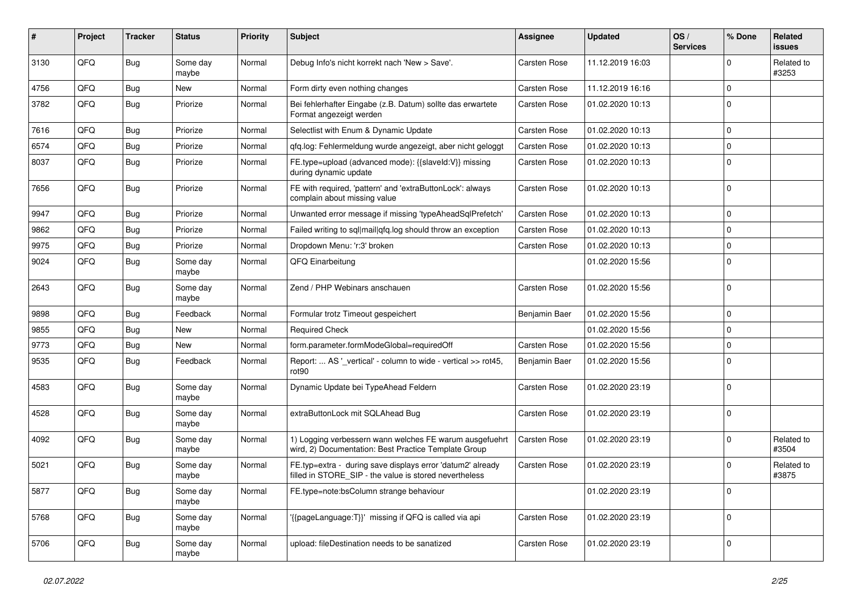| #    | Project | <b>Tracker</b> | <b>Status</b>     | <b>Priority</b> | Subject                                                                                                              | Assignee            | <b>Updated</b>   | OS/<br><b>Services</b> | % Done      | Related<br>issues   |
|------|---------|----------------|-------------------|-----------------|----------------------------------------------------------------------------------------------------------------------|---------------------|------------------|------------------------|-------------|---------------------|
| 3130 | QFQ     | Bug            | Some day<br>maybe | Normal          | Debug Info's nicht korrekt nach 'New > Save'.                                                                        | <b>Carsten Rose</b> | 11.12.2019 16:03 |                        | 0           | Related to<br>#3253 |
| 4756 | QFQ     | <b>Bug</b>     | <b>New</b>        | Normal          | Form dirty even nothing changes                                                                                      | <b>Carsten Rose</b> | 11.12.2019 16:16 |                        | 0           |                     |
| 3782 | QFQ     | Bug            | Priorize          | Normal          | Bei fehlerhafter Eingabe (z.B. Datum) sollte das erwartete<br>Format angezeigt werden                                | Carsten Rose        | 01.02.2020 10:13 |                        | 0           |                     |
| 7616 | QFQ     | Bug            | Priorize          | Normal          | Selectlist with Enum & Dynamic Update                                                                                | <b>Carsten Rose</b> | 01.02.2020 10:13 |                        | $\mathbf 0$ |                     |
| 6574 | QFQ     | Bug            | Priorize          | Normal          | qfq.log: Fehlermeldung wurde angezeigt, aber nicht geloggt                                                           | Carsten Rose        | 01.02.2020 10:13 |                        | 0           |                     |
| 8037 | QFQ     | Bug            | Priorize          | Normal          | FE.type=upload (advanced mode): {{slaveId:V}} missing<br>during dynamic update                                       | <b>Carsten Rose</b> | 01.02.2020 10:13 |                        | $\mathbf 0$ |                     |
| 7656 | QFQ     | <b>Bug</b>     | Priorize          | Normal          | FE with required, 'pattern' and 'extraButtonLock': always<br>complain about missing value                            | Carsten Rose        | 01.02.2020 10:13 |                        | $\mathbf 0$ |                     |
| 9947 | QFQ     | Bug            | Priorize          | Normal          | Unwanted error message if missing 'typeAheadSqlPrefetch'                                                             | <b>Carsten Rose</b> | 01.02.2020 10:13 |                        | 0           |                     |
| 9862 | QFQ     | Bug            | Priorize          | Normal          | Failed writing to sql mail qfq.log should throw an exception                                                         | Carsten Rose        | 01.02.2020 10:13 |                        | $\mathbf 0$ |                     |
| 9975 | QFQ     | Bug            | Priorize          | Normal          | Dropdown Menu: 'r:3' broken                                                                                          | Carsten Rose        | 01.02.2020 10:13 |                        | $\mathbf 0$ |                     |
| 9024 | QFQ     | Bug            | Some day<br>maybe | Normal          | QFQ Einarbeitung                                                                                                     |                     | 01.02.2020 15:56 |                        | 0           |                     |
| 2643 | QFQ     | Bug            | Some day<br>maybe | Normal          | Zend / PHP Webinars anschauen                                                                                        | Carsten Rose        | 01.02.2020 15:56 |                        | $\mathbf 0$ |                     |
| 9898 | QFQ     | Bug            | Feedback          | Normal          | Formular trotz Timeout gespeichert                                                                                   | Benjamin Baer       | 01.02.2020 15:56 |                        | $\mathbf 0$ |                     |
| 9855 | QFQ     | Bug            | <b>New</b>        | Normal          | <b>Required Check</b>                                                                                                |                     | 01.02.2020 15:56 |                        | 0           |                     |
| 9773 | QFQ     | Bug            | <b>New</b>        | Normal          | form.parameter.formModeGlobal=requiredOff                                                                            | <b>Carsten Rose</b> | 01.02.2020 15:56 |                        | $\mathbf 0$ |                     |
| 9535 | QFQ     | Bug            | Feedback          | Normal          | Report:  AS '_vertical' - column to wide - vertical >> rot45,<br>rot <sub>90</sub>                                   | Benjamin Baer       | 01.02.2020 15:56 |                        | $\mathbf 0$ |                     |
| 4583 | QFQ     | Bug            | Some day<br>maybe | Normal          | Dynamic Update bei TypeAhead Feldern                                                                                 | Carsten Rose        | 01.02.2020 23:19 |                        | $\mathbf 0$ |                     |
| 4528 | QFQ     | Bug            | Some day<br>maybe | Normal          | extraButtonLock mit SQLAhead Bug                                                                                     | Carsten Rose        | 01.02.2020 23:19 |                        | 0           |                     |
| 4092 | QFQ     | Bug            | Some day<br>maybe | Normal          | 1) Logging verbessern wann welches FE warum ausgefuehrt<br>wird, 2) Documentation: Best Practice Template Group      | Carsten Rose        | 01.02.2020 23:19 |                        | $\mathbf 0$ | Related to<br>#3504 |
| 5021 | QFQ     | Bug            | Some day<br>maybe | Normal          | FE.typ=extra - during save displays error 'datum2' already<br>filled in STORE_SIP - the value is stored nevertheless | Carsten Rose        | 01.02.2020 23:19 |                        | 0           | Related to<br>#3875 |
| 5877 | QFQ     | Bug            | Some day<br>maybe | Normal          | FE.type=note:bsColumn strange behaviour                                                                              |                     | 01.02.2020 23:19 |                        | $\mathbf 0$ |                     |
| 5768 | QFG     | <b>Bug</b>     | Some day<br>maybe | Normal          | '{{pageLanguage:T}}' missing if QFQ is called via api                                                                | Carsten Rose        | 01.02.2020 23:19 |                        | $\mathbf 0$ |                     |
| 5706 | QFQ     | <b>Bug</b>     | Some day<br>maybe | Normal          | upload: fileDestination needs to be sanatized                                                                        | Carsten Rose        | 01.02.2020 23:19 |                        | 0           |                     |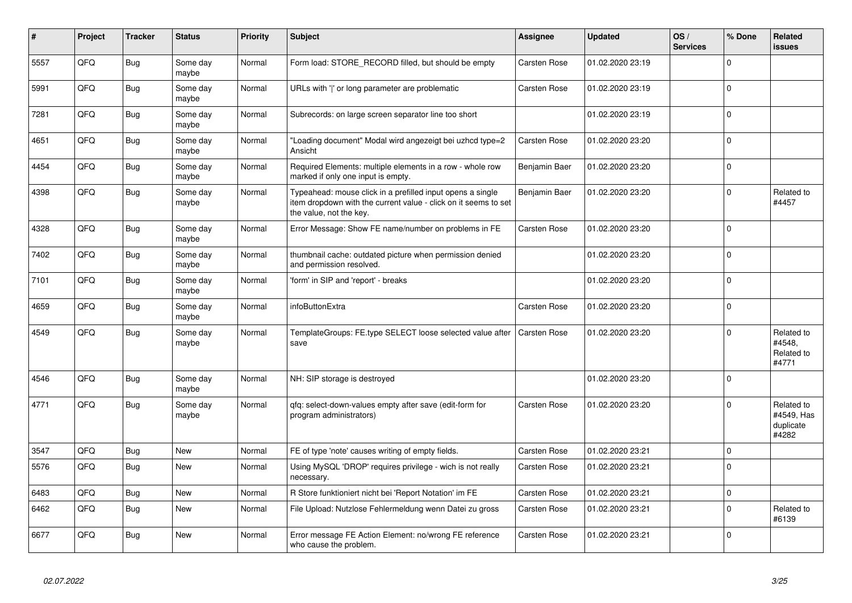| #    | Project | <b>Tracker</b> | <b>Status</b>     | <b>Priority</b> | <b>Subject</b>                                                                                                                                           | Assignee            | <b>Updated</b>   | OS/<br><b>Services</b> | % Done       | Related<br>issues                              |
|------|---------|----------------|-------------------|-----------------|----------------------------------------------------------------------------------------------------------------------------------------------------------|---------------------|------------------|------------------------|--------------|------------------------------------------------|
| 5557 | QFQ     | Bug            | Some day<br>maybe | Normal          | Form load: STORE_RECORD filled, but should be empty                                                                                                      | <b>Carsten Rose</b> | 01.02.2020 23:19 |                        | $\Omega$     |                                                |
| 5991 | QFQ     | <b>Bug</b>     | Some day<br>maybe | Normal          | URLs with 'I' or long parameter are problematic                                                                                                          | <b>Carsten Rose</b> | 01.02.2020 23:19 |                        | $\mathbf 0$  |                                                |
| 7281 | QFQ     | <b>Bug</b>     | Some day<br>maybe | Normal          | Subrecords: on large screen separator line too short                                                                                                     |                     | 01.02.2020 23:19 |                        | $\mathbf 0$  |                                                |
| 4651 | QFQ     | Bug            | Some day<br>maybe | Normal          | 'Loading document" Modal wird angezeigt bei uzhcd type=2<br>Ansicht                                                                                      | Carsten Rose        | 01.02.2020 23:20 |                        | $\mathbf 0$  |                                                |
| 4454 | QFQ     | <b>Bug</b>     | Some day<br>maybe | Normal          | Required Elements: multiple elements in a row - whole row<br>marked if only one input is empty.                                                          | Benjamin Baer       | 01.02.2020 23:20 |                        | $\mathbf{0}$ |                                                |
| 4398 | QFQ     | Bug            | Some day<br>maybe | Normal          | Typeahead: mouse click in a prefilled input opens a single<br>item dropdown with the current value - click on it seems to set<br>the value, not the key. | Benjamin Baer       | 01.02.2020 23:20 |                        | $\Omega$     | Related to<br>#4457                            |
| 4328 | QFQ     | <b>Bug</b>     | Some day<br>maybe | Normal          | Error Message: Show FE name/number on problems in FE                                                                                                     | Carsten Rose        | 01.02.2020 23:20 |                        | $\Omega$     |                                                |
| 7402 | QFQ     | <b>Bug</b>     | Some day<br>maybe | Normal          | thumbnail cache: outdated picture when permission denied<br>and permission resolved.                                                                     |                     | 01.02.2020 23:20 |                        | $\Omega$     |                                                |
| 7101 | QFQ     | Bug            | Some day<br>maybe | Normal          | 'form' in SIP and 'report' - breaks                                                                                                                      |                     | 01.02.2020 23:20 |                        | $\mathbf 0$  |                                                |
| 4659 | QFQ     | <b>Bug</b>     | Some day<br>maybe | Normal          | infoButtonExtra                                                                                                                                          | Carsten Rose        | 01.02.2020 23:20 |                        | $\mathbf 0$  |                                                |
| 4549 | QFQ     | Bug            | Some day<br>maybe | Normal          | TemplateGroups: FE.type SELECT loose selected value after<br>save                                                                                        | Carsten Rose        | 01.02.2020 23:20 |                        | $\Omega$     | Related to<br>#4548,<br>Related to<br>#4771    |
| 4546 | QFQ     | Bug            | Some day<br>maybe | Normal          | NH: SIP storage is destroyed                                                                                                                             |                     | 01.02.2020 23:20 |                        | $\mathbf 0$  |                                                |
| 4771 | QFQ     | Bug            | Some day<br>maybe | Normal          | gfg: select-down-values empty after save (edit-form for<br>program administrators)                                                                       | Carsten Rose        | 01.02.2020 23:20 |                        | $\mathbf 0$  | Related to<br>#4549, Has<br>duplicate<br>#4282 |
| 3547 | QFQ     | Bug            | <b>New</b>        | Normal          | FE of type 'note' causes writing of empty fields.                                                                                                        | Carsten Rose        | 01.02.2020 23:21 |                        | $\mathbf 0$  |                                                |
| 5576 | QFQ     | <b>Bug</b>     | <b>New</b>        | Normal          | Using MySQL 'DROP' requires privilege - wich is not really<br>necessary.                                                                                 | Carsten Rose        | 01.02.2020 23:21 |                        | $\mathbf 0$  |                                                |
| 6483 | QFQ     | <b>Bug</b>     | <b>New</b>        | Normal          | R Store funktioniert nicht bei 'Report Notation' im FE                                                                                                   | Carsten Rose        | 01.02.2020 23:21 |                        | $\mathbf{0}$ |                                                |
| 6462 | QFQ     | Bug            | <b>New</b>        | Normal          | File Upload: Nutzlose Fehlermeldung wenn Datei zu gross                                                                                                  | <b>Carsten Rose</b> | 01.02.2020 23:21 |                        | $\Omega$     | Related to<br>#6139                            |
| 6677 | QFQ     | <b>Bug</b>     | <b>New</b>        | Normal          | Error message FE Action Element: no/wrong FE reference<br>who cause the problem.                                                                         | Carsten Rose        | 01.02.2020 23:21 |                        | $\Omega$     |                                                |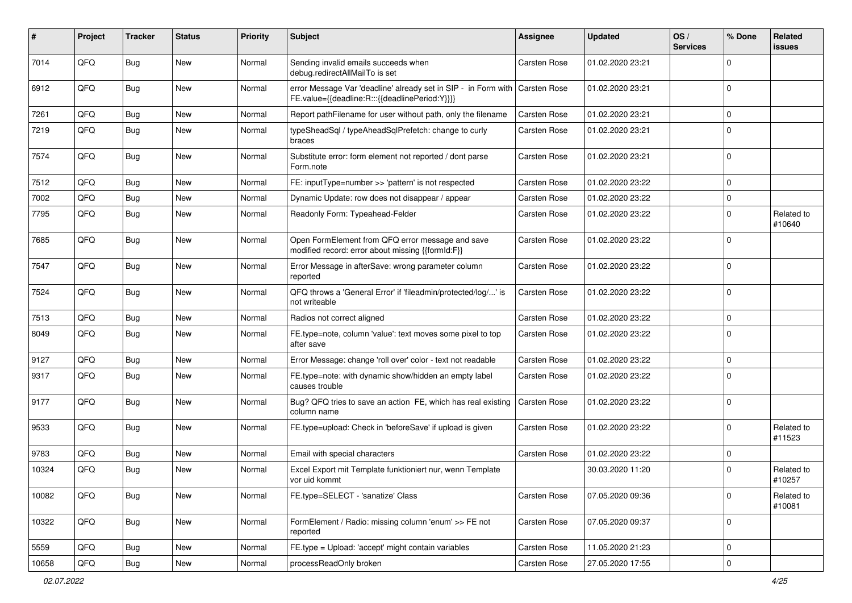| #     | Project | <b>Tracker</b> | <b>Status</b> | <b>Priority</b> | <b>Subject</b>                                                                                                                | Assignee            | <b>Updated</b>   | OS/<br><b>Services</b> | % Done      | Related<br>issues    |
|-------|---------|----------------|---------------|-----------------|-------------------------------------------------------------------------------------------------------------------------------|---------------------|------------------|------------------------|-------------|----------------------|
| 7014  | QFQ     | <b>Bug</b>     | New           | Normal          | Sending invalid emails succeeds when<br>debug.redirectAllMailTo is set                                                        | Carsten Rose        | 01.02.2020 23:21 |                        | 0           |                      |
| 6912  | QFQ     | <b>Bug</b>     | New           | Normal          | error Message Var 'deadline' already set in SIP - in Form with Carsten Rose<br>FE.value={{deadline:R:::{{deadlinePeriod:Y}}}} |                     | 01.02.2020 23:21 |                        | $\mathbf 0$ |                      |
| 7261  | QFQ     | Bug            | New           | Normal          | Report pathFilename for user without path, only the filename                                                                  | Carsten Rose        | 01.02.2020 23:21 |                        | $\mathbf 0$ |                      |
| 7219  | QFQ     | Bug            | New           | Normal          | typeSheadSql / typeAheadSqlPrefetch: change to curly<br>braces                                                                | <b>Carsten Rose</b> | 01.02.2020 23:21 |                        | $\Omega$    |                      |
| 7574  | QFQ     | <b>Bug</b>     | New           | Normal          | Substitute error: form element not reported / dont parse<br>Form.note                                                         | Carsten Rose        | 01.02.2020 23:21 |                        | $\mathbf 0$ |                      |
| 7512  | QFQ     | Bug            | New           | Normal          | FE: inputType=number >> 'pattern' is not respected                                                                            | <b>Carsten Rose</b> | 01.02.2020 23:22 |                        | $\mathbf 0$ |                      |
| 7002  | QFQ     | <b>Bug</b>     | New           | Normal          | Dynamic Update: row does not disappear / appear                                                                               | Carsten Rose        | 01.02.2020 23:22 |                        | $\mathbf 0$ |                      |
| 7795  | QFQ     | Bug            | New           | Normal          | Readonly Form: Typeahead-Felder                                                                                               | Carsten Rose        | 01.02.2020 23:22 |                        | 0           | Related to<br>#10640 |
| 7685  | QFQ     | Bug            | <b>New</b>    | Normal          | Open FormElement from QFQ error message and save<br>modified record: error about missing {{formId:F}}                         | Carsten Rose        | 01.02.2020 23:22 |                        | $\Omega$    |                      |
| 7547  | QFQ     | Bug            | New           | Normal          | Error Message in afterSave: wrong parameter column<br>reported                                                                | Carsten Rose        | 01.02.2020 23:22 |                        | $\mathbf 0$ |                      |
| 7524  | QFQ     | <b>Bug</b>     | New           | Normal          | QFQ throws a 'General Error' if 'fileadmin/protected/log/' is<br>not writeable                                                | Carsten Rose        | 01.02.2020 23:22 |                        | $\mathbf 0$ |                      |
| 7513  | QFQ     | Bug            | <b>New</b>    | Normal          | Radios not correct aligned                                                                                                    | Carsten Rose        | 01.02.2020 23:22 |                        | $\mathbf 0$ |                      |
| 8049  | QFQ     | Bug            | New           | Normal          | FE.type=note, column 'value': text moves some pixel to top<br>after save                                                      | <b>Carsten Rose</b> | 01.02.2020 23:22 |                        | $\Omega$    |                      |
| 9127  | QFQ     | Bug            | New           | Normal          | Error Message: change 'roll over' color - text not readable                                                                   | <b>Carsten Rose</b> | 01.02.2020 23:22 |                        | $\mathbf 0$ |                      |
| 9317  | QFQ     | Bug            | New           | Normal          | FE.type=note: with dynamic show/hidden an empty label<br>causes trouble                                                       | Carsten Rose        | 01.02.2020 23:22 |                        | $\Omega$    |                      |
| 9177  | QFQ     | Bug            | <b>New</b>    | Normal          | Bug? QFQ tries to save an action FE, which has real existing<br>column name                                                   | Carsten Rose        | 01.02.2020 23:22 |                        | $\mathbf 0$ |                      |
| 9533  | QFQ     | <b>Bug</b>     | New           | Normal          | FE.type=upload: Check in 'beforeSave' if upload is given                                                                      | Carsten Rose        | 01.02.2020 23:22 |                        | $\Omega$    | Related to<br>#11523 |
| 9783  | QFQ     | Bug            | <b>New</b>    | Normal          | Email with special characters                                                                                                 | Carsten Rose        | 01.02.2020 23:22 |                        | $\mathbf 0$ |                      |
| 10324 | QFQ     | Bug            | New           | Normal          | Excel Export mit Template funktioniert nur, wenn Template<br>vor uid kommt                                                    |                     | 30.03.2020 11:20 |                        | 0           | Related to<br>#10257 |
| 10082 | QFQ     | <b>Bug</b>     | New           | Normal          | FE.type=SELECT - 'sanatize' Class                                                                                             | Carsten Rose        | 07.05.2020 09:36 |                        | $\mathbf 0$ | Related to<br>#10081 |
| 10322 | QFQ     | <b>Bug</b>     | New           | Normal          | FormElement / Radio: missing column 'enum' >> FE not<br>reported                                                              | Carsten Rose        | 07.05.2020 09:37 |                        | $\mathbf 0$ |                      |
| 5559  | QFQ     | <b>Bug</b>     | New           | Normal          | FE.type = Upload: 'accept' might contain variables                                                                            | Carsten Rose        | 11.05.2020 21:23 |                        | 0           |                      |
| 10658 | QFG     | Bug            | New           | Normal          | processReadOnly broken                                                                                                        | Carsten Rose        | 27.05.2020 17:55 |                        | $\mathbf 0$ |                      |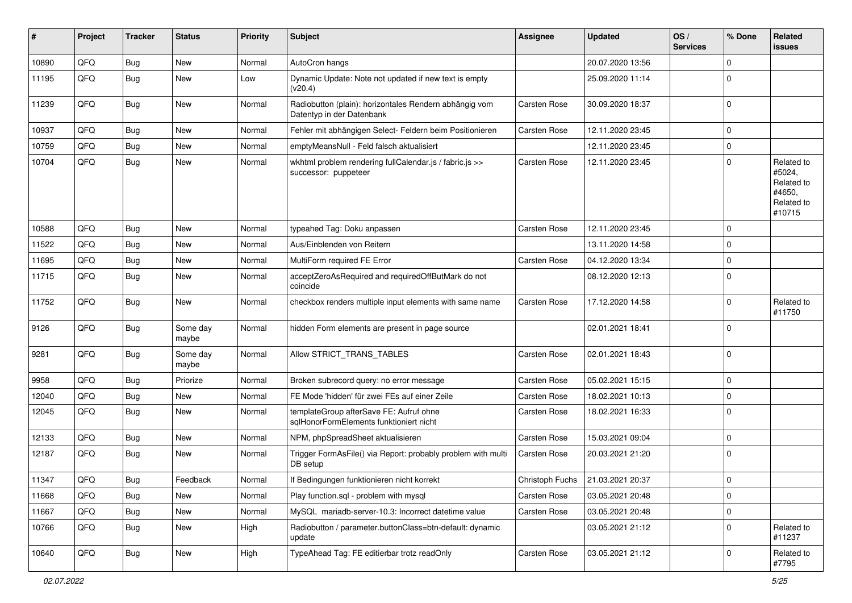| #     | Project | <b>Tracker</b> | <b>Status</b>     | <b>Priority</b> | <b>Subject</b>                                                                      | <b>Assignee</b>     | <b>Updated</b>   | OS/<br><b>Services</b> | % Done      | Related<br>issues                                                    |
|-------|---------|----------------|-------------------|-----------------|-------------------------------------------------------------------------------------|---------------------|------------------|------------------------|-------------|----------------------------------------------------------------------|
| 10890 | QFQ     | <b>Bug</b>     | New               | Normal          | AutoCron hangs                                                                      |                     | 20.07.2020 13:56 |                        | $\Omega$    |                                                                      |
| 11195 | QFQ     | <b>Bug</b>     | New               | Low             | Dynamic Update: Note not updated if new text is empty<br>(v20.4)                    |                     | 25.09.2020 11:14 |                        | $\Omega$    |                                                                      |
| 11239 | QFQ     | <b>Bug</b>     | New               | Normal          | Radiobutton (plain): horizontales Rendern abhängig vom<br>Datentyp in der Datenbank | Carsten Rose        | 30.09.2020 18:37 |                        | $\Omega$    |                                                                      |
| 10937 | QFQ     | <b>Bug</b>     | New               | Normal          | Fehler mit abhängigen Select- Feldern beim Positionieren                            | <b>Carsten Rose</b> | 12.11.2020 23:45 |                        | $\Omega$    |                                                                      |
| 10759 | QFQ     | <b>Bug</b>     | New               | Normal          | emptyMeansNull - Feld falsch aktualisiert                                           |                     | 12.11.2020 23:45 |                        | $\mathbf 0$ |                                                                      |
| 10704 | QFQ     | <b>Bug</b>     | New               | Normal          | wkhtml problem rendering fullCalendar.js / fabric.js >><br>successor: puppeteer     | <b>Carsten Rose</b> | 12.11.2020 23:45 |                        | $\Omega$    | Related to<br>#5024,<br>Related to<br>#4650,<br>Related to<br>#10715 |
| 10588 | QFQ     | <b>Bug</b>     | <b>New</b>        | Normal          | typeahed Tag: Doku anpassen                                                         | <b>Carsten Rose</b> | 12.11.2020 23:45 |                        | $\Omega$    |                                                                      |
| 11522 | QFQ     | <b>Bug</b>     | New               | Normal          | Aus/Einblenden von Reitern                                                          |                     | 13.11.2020 14:58 |                        | $\Omega$    |                                                                      |
| 11695 | QFQ     | <b>Bug</b>     | New               | Normal          | MultiForm required FE Error                                                         | Carsten Rose        | 04.12.2020 13:34 |                        | $\mathbf 0$ |                                                                      |
| 11715 | QFQ     | <b>Bug</b>     | New               | Normal          | acceptZeroAsRequired and requiredOffButMark do not<br>coincide                      |                     | 08.12.2020 12:13 |                        | $\Omega$    |                                                                      |
| 11752 | QFQ     | Bug            | New               | Normal          | checkbox renders multiple input elements with same name                             | <b>Carsten Rose</b> | 17.12.2020 14:58 |                        | $\Omega$    | Related to<br>#11750                                                 |
| 9126  | QFQ     | Bug            | Some day<br>maybe | Normal          | hidden Form elements are present in page source                                     |                     | 02.01.2021 18:41 |                        | l 0         |                                                                      |
| 9281  | QFQ     | <b>Bug</b>     | Some day<br>maybe | Normal          | Allow STRICT_TRANS_TABLES                                                           | Carsten Rose        | 02.01.2021 18:43 |                        | $\mathbf 0$ |                                                                      |
| 9958  | QFQ     | <b>Bug</b>     | Priorize          | Normal          | Broken subrecord query: no error message                                            | Carsten Rose        | 05.02.2021 15:15 |                        | $\mathbf 0$ |                                                                      |
| 12040 | QFQ     | <b>Bug</b>     | New               | Normal          | FE Mode 'hidden' für zwei FEs auf einer Zeile                                       | Carsten Rose        | 18.02.2021 10:13 |                        | $\Omega$    |                                                                      |
| 12045 | QFQ     | <b>Bug</b>     | New               | Normal          | templateGroup afterSave FE: Aufruf ohne<br>sqlHonorFormElements funktioniert nicht  | Carsten Rose        | 18.02.2021 16:33 |                        | $\Omega$    |                                                                      |
| 12133 | QFQ     | <b>Bug</b>     | New               | Normal          | NPM, phpSpreadSheet aktualisieren                                                   | Carsten Rose        | 15.03.2021 09:04 |                        | $\mathbf 0$ |                                                                      |
| 12187 | QFQ     | Bug            | New               | Normal          | Trigger FormAsFile() via Report: probably problem with multi<br>DB setup            | <b>Carsten Rose</b> | 20.03.2021 21:20 |                        | $\Omega$    |                                                                      |
| 11347 | QFQ     | Bug            | Feedback          | Normal          | If Bedingungen funktionieren nicht korrekt                                          | Christoph Fuchs     | 21.03.2021 20:37 |                        | ١o          |                                                                      |
| 11668 | QFQ     | Bug            | New               | Normal          | Play function.sql - problem with mysql                                              | Carsten Rose        | 03.05.2021 20:48 |                        | 0           |                                                                      |
| 11667 | QFQ     | <b>Bug</b>     | New               | Normal          | MySQL mariadb-server-10.3: Incorrect datetime value                                 | Carsten Rose        | 03.05.2021 20:48 |                        | $\mathbf 0$ |                                                                      |
| 10766 | QFQ     | <b>Bug</b>     | New               | High            | Radiobutton / parameter.buttonClass=btn-default: dynamic<br>update                  |                     | 03.05.2021 21:12 |                        | 0           | Related to<br>#11237                                                 |
| 10640 | QFQ     | Bug            | New               | High            | TypeAhead Tag: FE editierbar trotz readOnly                                         | Carsten Rose        | 03.05.2021 21:12 |                        | 0           | Related to<br>#7795                                                  |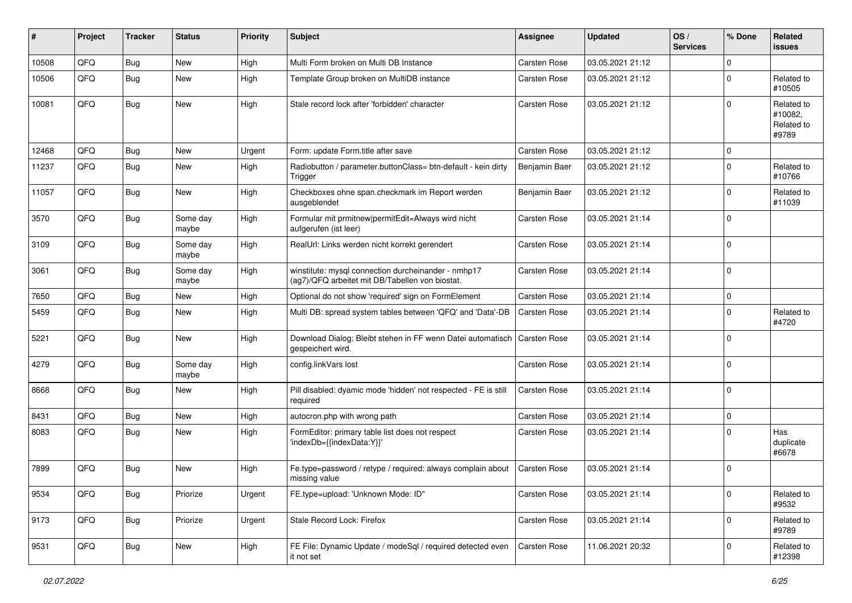| #     | Project | <b>Tracker</b> | <b>Status</b>     | <b>Priority</b> | <b>Subject</b>                                                                                         | <b>Assignee</b>     | <b>Updated</b>   | OS/<br><b>Services</b> | % Done      | Related<br>issues                            |
|-------|---------|----------------|-------------------|-----------------|--------------------------------------------------------------------------------------------------------|---------------------|------------------|------------------------|-------------|----------------------------------------------|
| 10508 | QFQ     | <b>Bug</b>     | New               | High            | Multi Form broken on Multi DB Instance                                                                 | <b>Carsten Rose</b> | 03.05.2021 21:12 |                        | $\Omega$    |                                              |
| 10506 | QFQ     | Bug            | New               | High            | Template Group broken on MultiDB instance                                                              | <b>Carsten Rose</b> | 03.05.2021 21:12 |                        | $\Omega$    | Related to<br>#10505                         |
| 10081 | QFQ     | Bug            | New               | High            | Stale record lock after 'forbidden' character                                                          | <b>Carsten Rose</b> | 03.05.2021 21:12 |                        | $\Omega$    | Related to<br>#10082,<br>Related to<br>#9789 |
| 12468 | QFQ     | <b>Bug</b>     | <b>New</b>        | Urgent          | Form: update Form.title after save                                                                     | Carsten Rose        | 03.05.2021 21:12 |                        | $\mathbf 0$ |                                              |
| 11237 | QFQ     | <b>Bug</b>     | New               | High            | Radiobutton / parameter.buttonClass= btn-default - kein dirty<br>Trigger                               | Benjamin Baer       | 03.05.2021 21:12 |                        | $\Omega$    | Related to<br>#10766                         |
| 11057 | QFQ     | Bug            | <b>New</b>        | High            | Checkboxes ohne span.checkmark im Report werden<br>ausgeblendet                                        | Benjamin Baer       | 03.05.2021 21:12 |                        | $\Omega$    | Related to<br>#11039                         |
| 3570  | QFQ     | Bug            | Some day<br>maybe | High            | Formular mit prmitnew permitEdit=Always wird nicht<br>aufgerufen (ist leer)                            | <b>Carsten Rose</b> | 03.05.2021 21:14 |                        | $\Omega$    |                                              |
| 3109  | QFQ     | Bug            | Some day<br>maybe | High            | RealUrl: Links werden nicht korrekt gerendert                                                          | Carsten Rose        | 03.05.2021 21:14 |                        | $\Omega$    |                                              |
| 3061  | QFQ     | <b>Bug</b>     | Some day<br>maybe | High            | winstitute: mysql connection durcheinander - nmhp17<br>(ag7)/QFQ arbeitet mit DB/Tabellen von biostat. | <b>Carsten Rose</b> | 03.05.2021 21:14 |                        | l 0         |                                              |
| 7650  | QFQ     | Bug            | New               | High            | Optional do not show 'required' sign on FormElement                                                    | Carsten Rose        | 03.05.2021 21:14 |                        | $\mathbf 0$ |                                              |
| 5459  | QFQ     | Bug            | <b>New</b>        | High            | Multi DB: spread system tables between 'QFQ' and 'Data'-DB                                             | <b>Carsten Rose</b> | 03.05.2021 21:14 |                        | $\Omega$    | Related to<br>#4720                          |
| 5221  | QFQ     | Bug            | <b>New</b>        | High            | Download Dialog: Bleibt stehen in FF wenn Datei automatisch<br>gespeichert wird.                       | Carsten Rose        | 03.05.2021 21:14 |                        | $\Omega$    |                                              |
| 4279  | QFQ     | Bug            | Some day<br>maybe | High            | config.linkVars lost                                                                                   | <b>Carsten Rose</b> | 03.05.2021 21:14 |                        | $\Omega$    |                                              |
| 8668  | QFQ     | Bug            | <b>New</b>        | High            | Pill disabled: dyamic mode 'hidden' not respected - FE is still<br>required                            | Carsten Rose        | 03.05.2021 21:14 |                        | $\Omega$    |                                              |
| 8431  | QFQ     | Bug            | New               | High            | autocron.php with wrong path                                                                           | <b>Carsten Rose</b> | 03.05.2021 21:14 |                        | l 0         |                                              |
| 8083  | QFQ     | Bug            | New               | High            | FormEditor: primary table list does not respect<br>'indexDb={{indexData:Y}}'                           | <b>Carsten Rose</b> | 03.05.2021 21:14 |                        | $\Omega$    | Has<br>duplicate<br>#6678                    |
| 7899  | QFQ     | Bug            | <b>New</b>        | High            | Fe.type=password / retype / required: always complain about<br>missing value                           | <b>Carsten Rose</b> | 03.05.2021 21:14 |                        | l 0         |                                              |
| 9534  | QFQ     | <b>Bug</b>     | Priorize          | Urgent          | FE.type=upload: 'Unknown Mode: ID"                                                                     | Carsten Rose        | 03.05.2021 21:14 |                        | $\mathbf 0$ | Related to<br>#9532                          |
| 9173  | QFQ     | <b>Bug</b>     | Priorize          | Urgent          | Stale Record Lock: Firefox                                                                             | Carsten Rose        | 03.05.2021 21:14 |                        | $\mathbf 0$ | Related to<br>#9789                          |
| 9531  | QFQ     | <b>Bug</b>     | New               | High            | FE File: Dynamic Update / modeSql / required detected even<br>it not set                               | Carsten Rose        | 11.06.2021 20:32 |                        | 0           | Related to<br>#12398                         |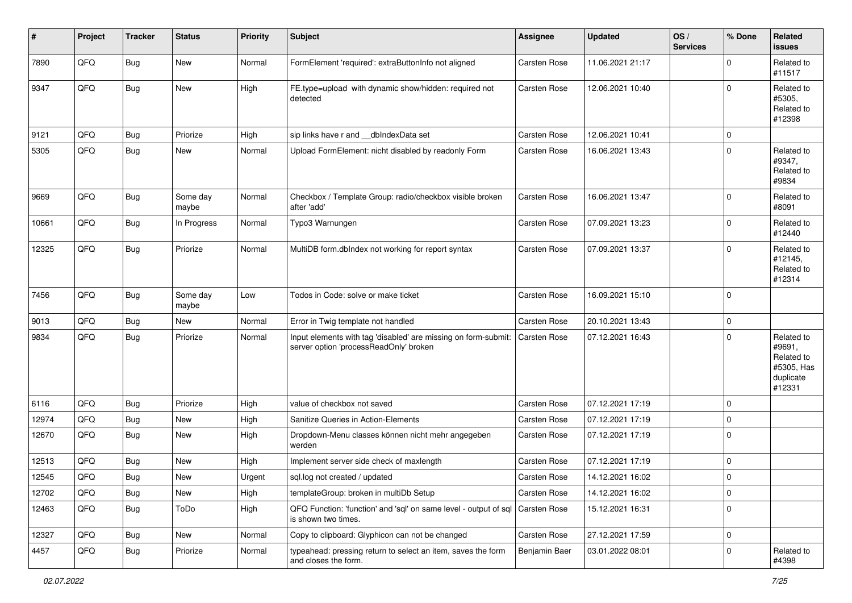| $\sharp$ | Project | <b>Tracker</b> | <b>Status</b>     | <b>Priority</b> | <b>Subject</b>                                                                                           | <b>Assignee</b>     | <b>Updated</b>   | OS/<br><b>Services</b> | % Done         | Related<br>issues                                                       |
|----------|---------|----------------|-------------------|-----------------|----------------------------------------------------------------------------------------------------------|---------------------|------------------|------------------------|----------------|-------------------------------------------------------------------------|
| 7890     | QFQ     | Bug            | <b>New</b>        | Normal          | FormElement 'required': extraButtonInfo not aligned                                                      | <b>Carsten Rose</b> | 11.06.2021 21:17 |                        | $\mathbf 0$    | Related to<br>#11517                                                    |
| 9347     | QFQ     | Bug            | New               | High            | FE.type=upload with dynamic show/hidden: required not<br>detected                                        | <b>Carsten Rose</b> | 12.06.2021 10:40 |                        | 0              | Related to<br>#5305,<br>Related to<br>#12398                            |
| 9121     | QFQ     | <b>Bug</b>     | Priorize          | High            | sip links have r and __dbIndexData set                                                                   | <b>Carsten Rose</b> | 12.06.2021 10:41 |                        | $\overline{0}$ |                                                                         |
| 5305     | QFQ     | <b>Bug</b>     | New               | Normal          | Upload FormElement: nicht disabled by readonly Form                                                      | <b>Carsten Rose</b> | 16.06.2021 13:43 |                        | $\mathbf 0$    | Related to<br>#9347,<br>Related to<br>#9834                             |
| 9669     | QFQ     | <b>Bug</b>     | Some day<br>maybe | Normal          | Checkbox / Template Group: radio/checkbox visible broken<br>after 'add'                                  | <b>Carsten Rose</b> | 16.06.2021 13:47 |                        | $\mathbf 0$    | Related to<br>#8091                                                     |
| 10661    | QFQ     | <b>Bug</b>     | In Progress       | Normal          | Typo3 Warnungen                                                                                          | <b>Carsten Rose</b> | 07.09.2021 13:23 |                        | 0              | Related to<br>#12440                                                    |
| 12325    | QFQ     | <b>Bug</b>     | Priorize          | Normal          | MultiDB form.dblndex not working for report syntax                                                       | <b>Carsten Rose</b> | 07.09.2021 13:37 |                        | $\mathbf 0$    | Related to<br>#12145,<br>Related to<br>#12314                           |
| 7456     | QFQ     | <b>Bug</b>     | Some day<br>maybe | Low             | Todos in Code: solve or make ticket                                                                      | <b>Carsten Rose</b> | 16.09.2021 15:10 |                        | 0              |                                                                         |
| 9013     | QFQ     | Bug            | New               | Normal          | Error in Twig template not handled                                                                       | <b>Carsten Rose</b> | 20.10.2021 13:43 |                        | $\mathbf 0$    |                                                                         |
| 9834     | QFQ     | <b>Bug</b>     | Priorize          | Normal          | Input elements with tag 'disabled' are missing on form-submit:<br>server option 'processReadOnly' broken | <b>Carsten Rose</b> | 07.12.2021 16:43 |                        | 0              | Related to<br>#9691,<br>Related to<br>#5305, Has<br>duplicate<br>#12331 |
| 6116     | QFQ     | <b>Bug</b>     | Priorize          | High            | value of checkbox not saved                                                                              | <b>Carsten Rose</b> | 07.12.2021 17:19 |                        | 0              |                                                                         |
| 12974    | QFQ     | <b>Bug</b>     | New               | High            | Sanitize Queries in Action-Elements                                                                      | <b>Carsten Rose</b> | 07.12.2021 17:19 |                        | 0              |                                                                         |
| 12670    | QFQ     | Bug            | New               | High            | Dropdown-Menu classes können nicht mehr angegeben<br>werden                                              | <b>Carsten Rose</b> | 07.12.2021 17:19 |                        | 0              |                                                                         |
| 12513    | QFQ     | Bug            | <b>New</b>        | High            | Implement server side check of maxlength                                                                 | <b>Carsten Rose</b> | 07.12.2021 17:19 |                        | $\mathbf 0$    |                                                                         |
| 12545    | QFQ     | Bug            | New               | Urgent          | sql.log not created / updated                                                                            | <b>Carsten Rose</b> | 14.12.2021 16:02 |                        | 0              |                                                                         |
| 12702    | QFQ     | Bug            | New               | High            | templateGroup: broken in multiDb Setup                                                                   | Carsten Rose        | 14.12.2021 16:02 |                        | $\overline{0}$ |                                                                         |
| 12463    | QFQ     | Bug            | ToDo              | High            | QFQ Function: 'function' and 'sql' on same level - output of sql<br>is shown two times.                  | Carsten Rose        | 15.12.2021 16:31 |                        | $\overline{0}$ |                                                                         |
| 12327    | QFQ     | <b>Bug</b>     | New               | Normal          | Copy to clipboard: Glyphicon can not be changed                                                          | Carsten Rose        | 27.12.2021 17:59 |                        | $\overline{0}$ |                                                                         |
| 4457     | QFQ     | Bug            | Priorize          | Normal          | typeahead: pressing return to select an item, saves the form<br>and closes the form.                     | Benjamin Baer       | 03.01.2022 08:01 |                        | $\overline{0}$ | Related to<br>#4398                                                     |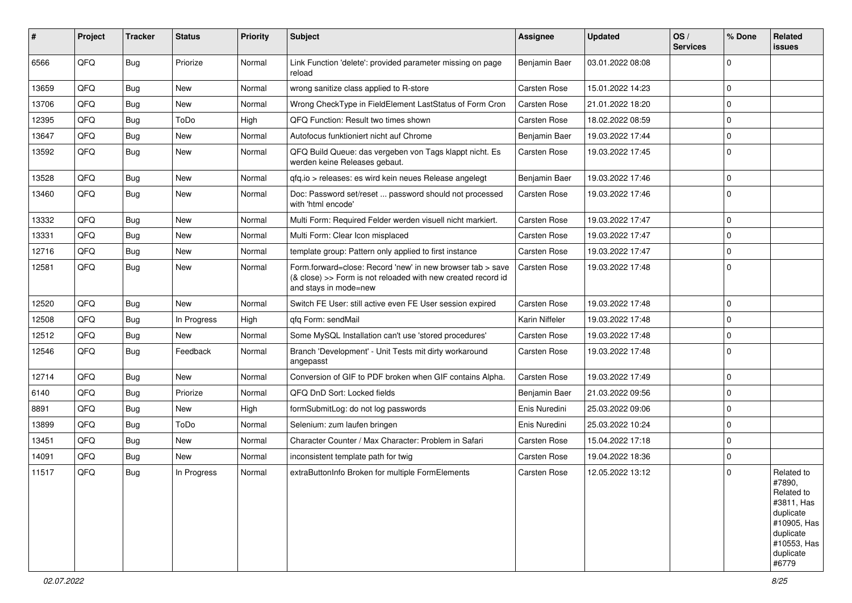| #     | Project | <b>Tracker</b> | <b>Status</b> | <b>Priority</b> | <b>Subject</b>                                                                                                                                      | Assignee            | <b>Updated</b>   | OS/<br><b>Services</b> | % Done       | Related<br>issues                                                                                                              |
|-------|---------|----------------|---------------|-----------------|-----------------------------------------------------------------------------------------------------------------------------------------------------|---------------------|------------------|------------------------|--------------|--------------------------------------------------------------------------------------------------------------------------------|
| 6566  | QFQ     | <b>Bug</b>     | Priorize      | Normal          | Link Function 'delete': provided parameter missing on page<br>reload                                                                                | Benjamin Baer       | 03.01.2022 08:08 |                        | 0            |                                                                                                                                |
| 13659 | QFQ     | <b>Bug</b>     | New           | Normal          | wrong sanitize class applied to R-store                                                                                                             | Carsten Rose        | 15.01.2022 14:23 |                        | $\mathbf 0$  |                                                                                                                                |
| 13706 | QFQ     | <b>Bug</b>     | New           | Normal          | Wrong CheckType in FieldElement LastStatus of Form Cron                                                                                             | Carsten Rose        | 21.01.2022 18:20 |                        | $\mathbf 0$  |                                                                                                                                |
| 12395 | QFQ     | <b>Bug</b>     | ToDo          | High            | QFQ Function: Result two times shown                                                                                                                | Carsten Rose        | 18.02.2022 08:59 |                        | $\mathbf 0$  |                                                                                                                                |
| 13647 | QFQ     | <b>Bug</b>     | <b>New</b>    | Normal          | Autofocus funktioniert nicht auf Chrome                                                                                                             | Benjamin Baer       | 19.03.2022 17:44 |                        | $\mathbf 0$  |                                                                                                                                |
| 13592 | QFQ     | <b>Bug</b>     | New           | Normal          | QFQ Build Queue: das vergeben von Tags klappt nicht. Es<br>werden keine Releases gebaut.                                                            | <b>Carsten Rose</b> | 19.03.2022 17:45 |                        | $\Omega$     |                                                                                                                                |
| 13528 | QFQ     | <b>Bug</b>     | <b>New</b>    | Normal          | qfq.io > releases: es wird kein neues Release angelegt                                                                                              | Benjamin Baer       | 19.03.2022 17:46 |                        | $\mathbf 0$  |                                                                                                                                |
| 13460 | QFQ     | <b>Bug</b>     | New           | Normal          | Doc: Password set/reset  password should not processed<br>with 'html encode'                                                                        | Carsten Rose        | 19.03.2022 17:46 |                        | $\Omega$     |                                                                                                                                |
| 13332 | QFQ     | <b>Bug</b>     | <b>New</b>    | Normal          | Multi Form: Required Felder werden visuell nicht markiert.                                                                                          | Carsten Rose        | 19.03.2022 17:47 |                        | $\mathbf 0$  |                                                                                                                                |
| 13331 | QFQ     | <b>Bug</b>     | New           | Normal          | Multi Form: Clear Icon misplaced                                                                                                                    | Carsten Rose        | 19.03.2022 17:47 |                        | $\mathbf 0$  |                                                                                                                                |
| 12716 | QFQ     | <b>Bug</b>     | New           | Normal          | template group: Pattern only applied to first instance                                                                                              | Carsten Rose        | 19.03.2022 17:47 |                        | $\mathbf 0$  |                                                                                                                                |
| 12581 | QFQ     | <b>Bug</b>     | New           | Normal          | Form.forward=close: Record 'new' in new browser tab > save<br>(& close) >> Form is not reloaded with new created record id<br>and stays in mode=new | Carsten Rose        | 19.03.2022 17:48 |                        | $\Omega$     |                                                                                                                                |
| 12520 | QFQ     | <b>Bug</b>     | <b>New</b>    | Normal          | Switch FE User: still active even FE User session expired                                                                                           | Carsten Rose        | 19.03.2022 17:48 |                        | $\mathbf{0}$ |                                                                                                                                |
| 12508 | QFQ     | <b>Bug</b>     | In Progress   | High            | qfq Form: sendMail                                                                                                                                  | Karin Niffeler      | 19.03.2022 17:48 |                        | $\mathbf 0$  |                                                                                                                                |
| 12512 | QFQ     | <b>Bug</b>     | <b>New</b>    | Normal          | Some MySQL Installation can't use 'stored procedures'                                                                                               | Carsten Rose        | 19.03.2022 17:48 |                        | $\mathbf 0$  |                                                                                                                                |
| 12546 | QFQ     | <b>Bug</b>     | Feedback      | Normal          | Branch 'Development' - Unit Tests mit dirty workaround<br>angepasst                                                                                 | Carsten Rose        | 19.03.2022 17:48 |                        | $\mathbf 0$  |                                                                                                                                |
| 12714 | QFQ     | <b>Bug</b>     | <b>New</b>    | Normal          | Conversion of GIF to PDF broken when GIF contains Alpha.                                                                                            | Carsten Rose        | 19.03.2022 17:49 |                        | $\mathbf 0$  |                                                                                                                                |
| 6140  | QFQ     | <b>Bug</b>     | Priorize      | Normal          | QFQ DnD Sort: Locked fields                                                                                                                         | Benjamin Baer       | 21.03.2022 09:56 |                        | $\mathbf 0$  |                                                                                                                                |
| 8891  | QFQ     | <b>Bug</b>     | <b>New</b>    | High            | formSubmitLog: do not log passwords                                                                                                                 | Enis Nuredini       | 25.03.2022 09:06 |                        | $\mathbf 0$  |                                                                                                                                |
| 13899 | QFQ     | <b>Bug</b>     | ToDo          | Normal          | Selenium: zum laufen bringen                                                                                                                        | Enis Nuredini       | 25.03.2022 10:24 |                        | $\mathbf 0$  |                                                                                                                                |
| 13451 | QFQ     | Bug            | <b>New</b>    | Normal          | Character Counter / Max Character: Problem in Safari                                                                                                | Carsten Rose        | 15.04.2022 17:18 |                        | $\mathbf 0$  |                                                                                                                                |
| 14091 | QFQ     | <b>Bug</b>     | <b>New</b>    | Normal          | inconsistent template path for twig                                                                                                                 | Carsten Rose        | 19.04.2022 18:36 |                        | $\mathbf 0$  |                                                                                                                                |
| 11517 | QFQ     | <b>Bug</b>     | In Progress   | Normal          | extraButtonInfo Broken for multiple FormElements                                                                                                    | Carsten Rose        | 12.05.2022 13:12 |                        | $\mathbf 0$  | Related to<br>#7890,<br>Related to<br>#3811, Has<br>duplicate<br>#10905, Has<br>duplicate<br>#10553, Has<br>duplicate<br>#6779 |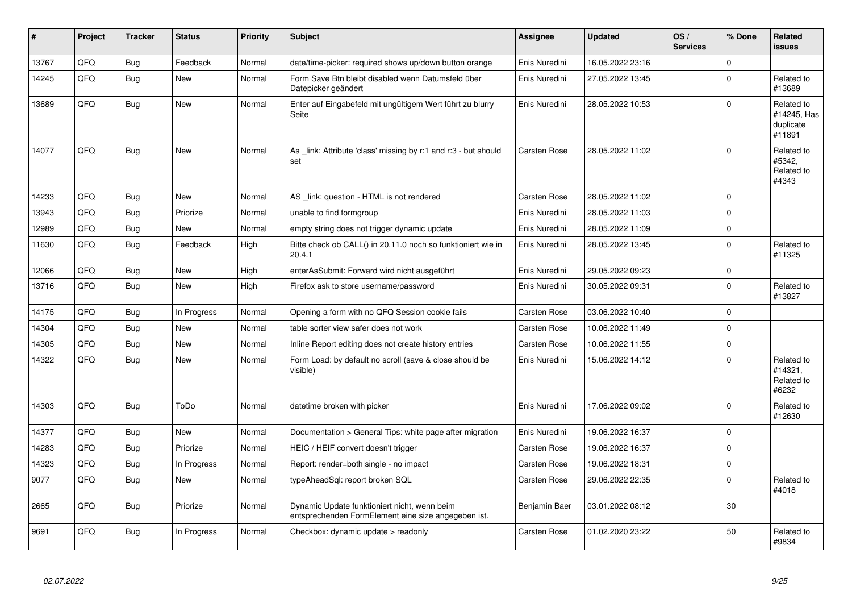| #     | Project | <b>Tracker</b> | <b>Status</b> | <b>Priority</b> | <b>Subject</b>                                                                                      | <b>Assignee</b>     | <b>Updated</b>   | OS/<br><b>Services</b> | % Done      | <b>Related</b><br>issues                         |
|-------|---------|----------------|---------------|-----------------|-----------------------------------------------------------------------------------------------------|---------------------|------------------|------------------------|-------------|--------------------------------------------------|
| 13767 | QFQ     | <b>Bug</b>     | Feedback      | Normal          | date/time-picker: required shows up/down button orange                                              | Enis Nuredini       | 16.05.2022 23:16 |                        | $\Omega$    |                                                  |
| 14245 | QFQ     | Bug            | <b>New</b>    | Normal          | Form Save Btn bleibt disabled wenn Datumsfeld über<br>Datepicker geändert                           | Enis Nuredini       | 27.05.2022 13:45 |                        | $\Omega$    | Related to<br>#13689                             |
| 13689 | QFQ     | Bug            | <b>New</b>    | Normal          | Enter auf Eingabefeld mit ungültigem Wert führt zu blurry<br>Seite                                  | Enis Nuredini       | 28.05.2022 10:53 |                        | $\Omega$    | Related to<br>#14245, Has<br>duplicate<br>#11891 |
| 14077 | QFQ     | Bug            | New           | Normal          | As link: Attribute 'class' missing by r:1 and r:3 - but should<br>set                               | <b>Carsten Rose</b> | 28.05.2022 11:02 |                        | $\Omega$    | Related to<br>#5342,<br>Related to<br>#4343      |
| 14233 | QFQ     | <b>Bug</b>     | <b>New</b>    | Normal          | AS _link: question - HTML is not rendered                                                           | Carsten Rose        | 28.05.2022 11:02 |                        | $\Omega$    |                                                  |
| 13943 | QFQ     | <b>Bug</b>     | Priorize      | Normal          | unable to find formgroup                                                                            | Enis Nuredini       | 28.05.2022 11:03 |                        | $\Omega$    |                                                  |
| 12989 | QFQ     | <b>Bug</b>     | <b>New</b>    | Normal          | empty string does not trigger dynamic update                                                        | Enis Nuredini       | 28.05.2022 11:09 |                        | $\Omega$    |                                                  |
| 11630 | QFQ     | Bug            | Feedback      | High            | Bitte check ob CALL() in 20.11.0 noch so funktioniert wie in<br>20.4.1                              | Enis Nuredini       | 28.05.2022 13:45 |                        | $\Omega$    | Related to<br>#11325                             |
| 12066 | QFQ     | <b>Bug</b>     | <b>New</b>    | High            | enterAsSubmit: Forward wird nicht ausgeführt                                                        | Enis Nuredini       | 29.05.2022 09:23 |                        | $\Omega$    |                                                  |
| 13716 | QFQ     | Bug            | New           | High            | Firefox ask to store username/password                                                              | Enis Nuredini       | 30.05.2022 09:31 |                        | $\Omega$    | Related to<br>#13827                             |
| 14175 | QFQ     | Bug            | In Progress   | Normal          | Opening a form with no QFQ Session cookie fails                                                     | Carsten Rose        | 03.06.2022 10:40 |                        | $\mathbf 0$ |                                                  |
| 14304 | QFQ     | <b>Bug</b>     | <b>New</b>    | Normal          | table sorter view safer does not work                                                               | <b>Carsten Rose</b> | 10.06.2022 11:49 |                        | $\Omega$    |                                                  |
| 14305 | QFQ     | Bug            | New           | Normal          | Inline Report editing does not create history entries                                               | Carsten Rose        | 10.06.2022 11:55 |                        | $\mathbf 0$ |                                                  |
| 14322 | QFQ     | Bug            | New           | Normal          | Form Load: by default no scroll (save & close should be<br>visible)                                 | Enis Nuredini       | 15.06.2022 14:12 |                        | $\Omega$    | Related to<br>#14321,<br>Related to<br>#6232     |
| 14303 | QFQ     | Bug            | ToDo          | Normal          | datetime broken with picker                                                                         | Enis Nuredini       | 17.06.2022 09:02 |                        | $\Omega$    | Related to<br>#12630                             |
| 14377 | QFQ     | Bug            | New           | Normal          | Documentation > General Tips: white page after migration                                            | Enis Nuredini       | 19.06.2022 16:37 |                        | l 0         |                                                  |
| 14283 | QFQ     | <b>Bug</b>     | Priorize      | Normal          | HEIC / HEIF convert doesn't trigger                                                                 | <b>Carsten Rose</b> | 19.06.2022 16:37 |                        | $\Omega$    |                                                  |
| 14323 | QFQ     | <b>Bug</b>     | In Progress   | Normal          | Report: render=both single - no impact                                                              | <b>Carsten Rose</b> | 19.06.2022 18:31 |                        | $\mathbf 0$ |                                                  |
| 9077  | QFQ     | Bug            | <b>New</b>    | Normal          | typeAheadSql: report broken SQL                                                                     | Carsten Rose        | 29.06.2022 22:35 |                        | $\Omega$    | Related to<br>#4018                              |
| 2665  | QFQ     | Bug            | Priorize      | Normal          | Dynamic Update funktioniert nicht, wenn beim<br>entsprechenden FormElement eine size angegeben ist. | Benjamin Baer       | 03.01.2022 08:12 |                        | 30          |                                                  |
| 9691  | QFQ     | Bug            | In Progress   | Normal          | Checkbox: dynamic update > readonly                                                                 | Carsten Rose        | 01.02.2020 23:22 |                        | 50          | Related to<br>#9834                              |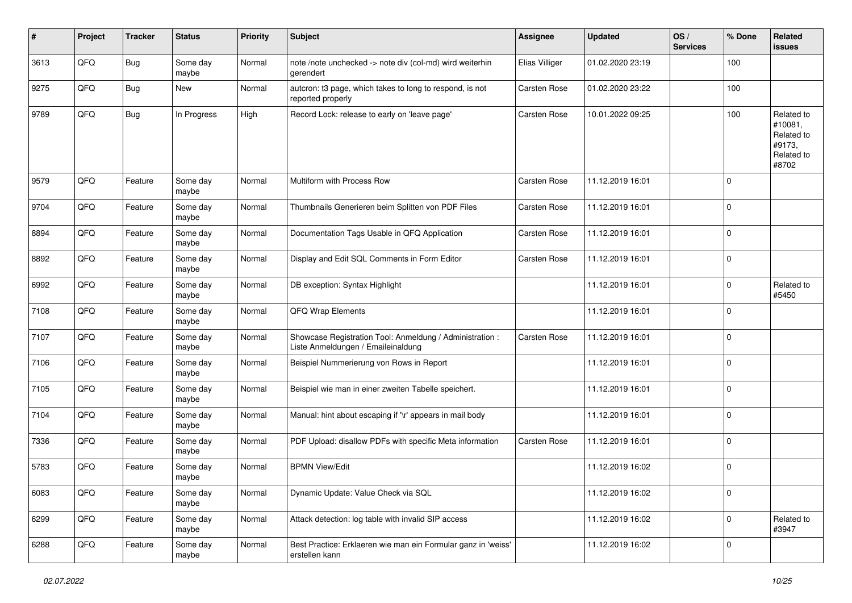| #    | Project | <b>Tracker</b> | <b>Status</b>     | <b>Priority</b> | Subject                                                                                        | <b>Assignee</b>     | <b>Updated</b>   | OS/<br><b>Services</b> | % Done         | Related<br>issues                                                    |
|------|---------|----------------|-------------------|-----------------|------------------------------------------------------------------------------------------------|---------------------|------------------|------------------------|----------------|----------------------------------------------------------------------|
| 3613 | QFQ     | <b>Bug</b>     | Some day<br>maybe | Normal          | note /note unchecked -> note div (col-md) wird weiterhin<br>gerendert                          | Elias Villiger      | 01.02.2020 23:19 |                        | 100            |                                                                      |
| 9275 | QFQ     | <b>Bug</b>     | <b>New</b>        | Normal          | autcron: t3 page, which takes to long to respond, is not<br>reported properly                  | <b>Carsten Rose</b> | 01.02.2020 23:22 |                        | 100            |                                                                      |
| 9789 | QFQ     | <b>Bug</b>     | In Progress       | High            | Record Lock: release to early on 'leave page'                                                  | <b>Carsten Rose</b> | 10.01.2022 09:25 |                        | 100            | Related to<br>#10081,<br>Related to<br>#9173,<br>Related to<br>#8702 |
| 9579 | QFQ     | Feature        | Some day<br>maybe | Normal          | Multiform with Process Row                                                                     | Carsten Rose        | 11.12.2019 16:01 |                        | $\mathbf 0$    |                                                                      |
| 9704 | QFQ     | Feature        | Some day<br>maybe | Normal          | Thumbnails Generieren beim Splitten von PDF Files                                              | <b>Carsten Rose</b> | 11.12.2019 16:01 |                        | $\mathbf 0$    |                                                                      |
| 8894 | QFQ     | Feature        | Some day<br>maybe | Normal          | Documentation Tags Usable in QFQ Application                                                   | Carsten Rose        | 11.12.2019 16:01 |                        | $\mathbf 0$    |                                                                      |
| 8892 | QFQ     | Feature        | Some day<br>maybe | Normal          | Display and Edit SQL Comments in Form Editor                                                   | Carsten Rose        | 11.12.2019 16:01 |                        | $\mathbf 0$    |                                                                      |
| 6992 | QFQ     | Feature        | Some day<br>maybe | Normal          | DB exception: Syntax Highlight                                                                 |                     | 11.12.2019 16:01 |                        | $\mathbf 0$    | Related to<br>#5450                                                  |
| 7108 | QFQ     | Feature        | Some day<br>maybe | Normal          | QFQ Wrap Elements                                                                              |                     | 11.12.2019 16:01 |                        | $\mathbf 0$    |                                                                      |
| 7107 | QFQ     | Feature        | Some day<br>maybe | Normal          | Showcase Registration Tool: Anmeldung / Administration :<br>Liste Anmeldungen / Emaileinaldung | <b>Carsten Rose</b> | 11.12.2019 16:01 |                        | $\mathbf 0$    |                                                                      |
| 7106 | QFQ     | Feature        | Some day<br>maybe | Normal          | Beispiel Nummerierung von Rows in Report                                                       |                     | 11.12.2019 16:01 |                        | $\mathbf 0$    |                                                                      |
| 7105 | QFQ     | Feature        | Some day<br>maybe | Normal          | Beispiel wie man in einer zweiten Tabelle speichert.                                           |                     | 11.12.2019 16:01 |                        | $\mathbf 0$    |                                                                      |
| 7104 | QFQ     | Feature        | Some day<br>maybe | Normal          | Manual: hint about escaping if '\r' appears in mail body                                       |                     | 11.12.2019 16:01 |                        | $\mathbf 0$    |                                                                      |
| 7336 | QFQ     | Feature        | Some day<br>maybe | Normal          | PDF Upload: disallow PDFs with specific Meta information                                       | <b>Carsten Rose</b> | 11.12.2019 16:01 |                        | $\mathbf 0$    |                                                                      |
| 5783 | QFQ     | Feature        | Some day<br>maybe | Normal          | <b>BPMN View/Edit</b>                                                                          |                     | 11.12.2019 16:02 |                        | $\mathbf 0$    |                                                                      |
| 6083 | QFG     | Feature        | Some day<br>maybe | Normal          | Dynamic Update: Value Check via SQL                                                            |                     | 11.12.2019 16:02 |                        | $\overline{0}$ |                                                                      |
| 6299 | QFG     | Feature        | Some day<br>maybe | Normal          | Attack detection: log table with invalid SIP access                                            |                     | 11.12.2019 16:02 |                        | $\mathbf 0$    | Related to<br>#3947                                                  |
| 6288 | QFQ     | Feature        | Some day<br>maybe | Normal          | Best Practice: Erklaeren wie man ein Formular ganz in 'weiss'<br>erstellen kann                |                     | 11.12.2019 16:02 |                        | $\mathbf 0$    |                                                                      |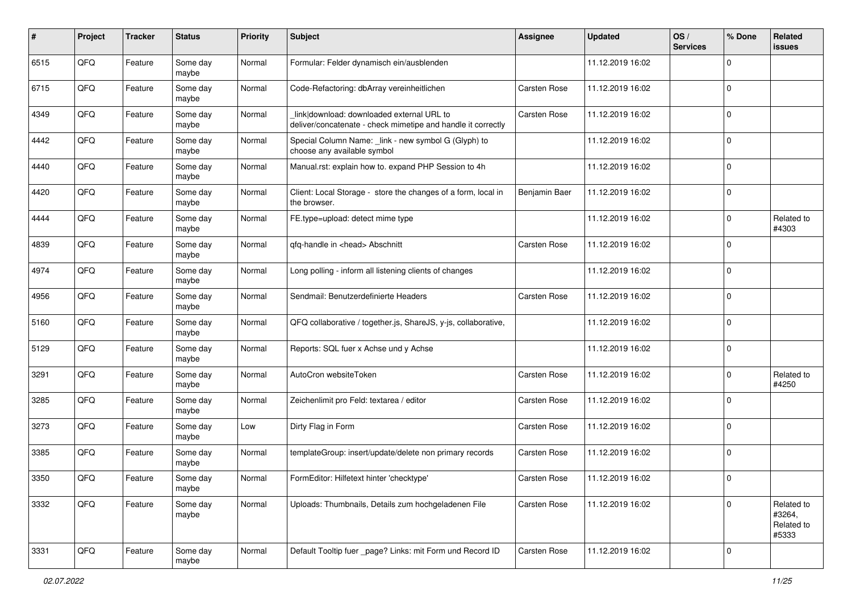| #    | Project | <b>Tracker</b> | <b>Status</b>     | <b>Priority</b> | Subject                                                                                                   | <b>Assignee</b>     | <b>Updated</b>   | OS/<br><b>Services</b> | % Done      | Related<br>issues                           |
|------|---------|----------------|-------------------|-----------------|-----------------------------------------------------------------------------------------------------------|---------------------|------------------|------------------------|-------------|---------------------------------------------|
| 6515 | QFQ     | Feature        | Some day<br>maybe | Normal          | Formular: Felder dynamisch ein/ausblenden                                                                 |                     | 11.12.2019 16:02 |                        | 0           |                                             |
| 6715 | QFQ     | Feature        | Some day<br>maybe | Normal          | Code-Refactoring: dbArray vereinheitlichen                                                                | Carsten Rose        | 11.12.2019 16:02 |                        | $\mathbf 0$ |                                             |
| 4349 | QFQ     | Feature        | Some day<br>maybe | Normal          | link download: downloaded external URL to<br>deliver/concatenate - check mimetipe and handle it correctly | Carsten Rose        | 11.12.2019 16:02 |                        | 0           |                                             |
| 4442 | QFQ     | Feature        | Some day<br>maybe | Normal          | Special Column Name: _link - new symbol G (Glyph) to<br>choose any available symbol                       |                     | 11.12.2019 16:02 |                        | $\mathbf 0$ |                                             |
| 4440 | QFQ     | Feature        | Some day<br>maybe | Normal          | Manual.rst: explain how to. expand PHP Session to 4h                                                      |                     | 11.12.2019 16:02 |                        | $\mathbf 0$ |                                             |
| 4420 | QFQ     | Feature        | Some day<br>maybe | Normal          | Client: Local Storage - store the changes of a form, local in<br>the browser.                             | Benjamin Baer       | 11.12.2019 16:02 |                        | $\mathbf 0$ |                                             |
| 4444 | QFQ     | Feature        | Some day<br>maybe | Normal          | FE.type=upload: detect mime type                                                                          |                     | 11.12.2019 16:02 |                        | $\mathbf 0$ | Related to<br>#4303                         |
| 4839 | QFQ     | Feature        | Some day<br>maybe | Normal          | qfq-handle in <head> Abschnitt</head>                                                                     | <b>Carsten Rose</b> | 11.12.2019 16:02 |                        | $\mathbf 0$ |                                             |
| 4974 | QFQ     | Feature        | Some day<br>maybe | Normal          | Long polling - inform all listening clients of changes                                                    |                     | 11.12.2019 16:02 |                        | $\mathbf 0$ |                                             |
| 4956 | QFQ     | Feature        | Some day<br>maybe | Normal          | Sendmail: Benutzerdefinierte Headers                                                                      | Carsten Rose        | 11.12.2019 16:02 |                        | $\mathbf 0$ |                                             |
| 5160 | QFQ     | Feature        | Some day<br>maybe | Normal          | QFQ collaborative / together.js, ShareJS, y-js, collaborative,                                            |                     | 11.12.2019 16:02 |                        | $\mathbf 0$ |                                             |
| 5129 | QFQ     | Feature        | Some day<br>maybe | Normal          | Reports: SQL fuer x Achse und y Achse                                                                     |                     | 11.12.2019 16:02 |                        | $\mathbf 0$ |                                             |
| 3291 | QFQ     | Feature        | Some day<br>maybe | Normal          | AutoCron websiteToken                                                                                     | Carsten Rose        | 11.12.2019 16:02 |                        | $\mathbf 0$ | Related to<br>#4250                         |
| 3285 | QFQ     | Feature        | Some day<br>maybe | Normal          | Zeichenlimit pro Feld: textarea / editor                                                                  | Carsten Rose        | 11.12.2019 16:02 |                        | $\mathbf 0$ |                                             |
| 3273 | QFQ     | Feature        | Some day<br>maybe | Low             | Dirty Flag in Form                                                                                        | <b>Carsten Rose</b> | 11.12.2019 16:02 |                        | $\mathbf 0$ |                                             |
| 3385 | QFQ     | Feature        | Some day<br>maybe | Normal          | templateGroup: insert/update/delete non primary records                                                   | Carsten Rose        | 11.12.2019 16:02 |                        | $\mathbf 0$ |                                             |
| 3350 | QFQ     | Feature        | Some day<br>maybe | Normal          | FormEditor: Hilfetext hinter 'checktype'                                                                  | Carsten Rose        | 11.12.2019 16:02 |                        | $\Omega$    |                                             |
| 3332 | QFQ     | Feature        | Some day<br>maybe | Normal          | Uploads: Thumbnails, Details zum hochgeladenen File                                                       | Carsten Rose        | 11.12.2019 16:02 |                        | $\mathbf 0$ | Related to<br>#3264,<br>Related to<br>#5333 |
| 3331 | QFQ     | Feature        | Some day<br>maybe | Normal          | Default Tooltip fuer _page? Links: mit Form und Record ID                                                 | Carsten Rose        | 11.12.2019 16:02 |                        | 0           |                                             |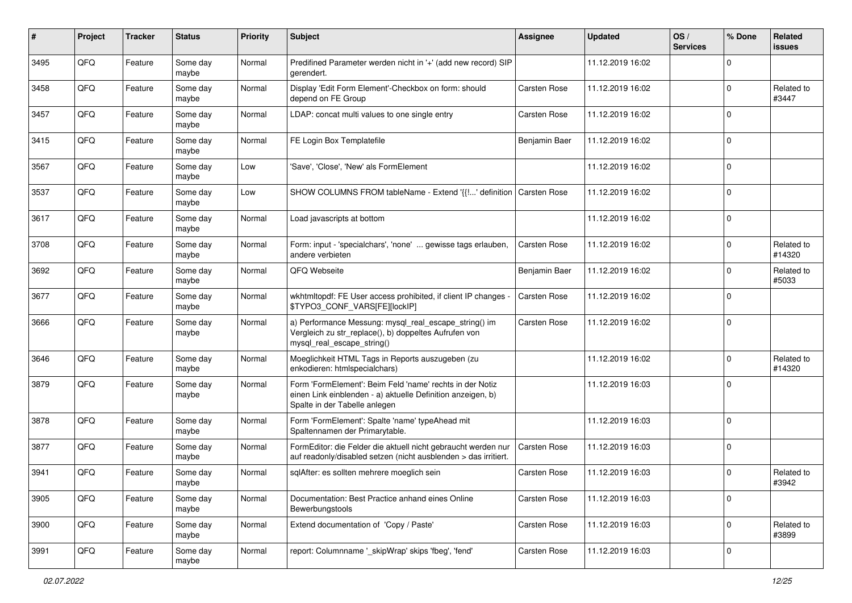| #    | Project | <b>Tracker</b> | <b>Status</b>     | <b>Priority</b> | Subject                                                                                                                                                  | <b>Assignee</b>     | <b>Updated</b>   | OS/<br><b>Services</b> | % Done      | Related<br>issues    |
|------|---------|----------------|-------------------|-----------------|----------------------------------------------------------------------------------------------------------------------------------------------------------|---------------------|------------------|------------------------|-------------|----------------------|
| 3495 | QFQ     | Feature        | Some day<br>maybe | Normal          | Predifined Parameter werden nicht in '+' (add new record) SIP<br>gerendert.                                                                              |                     | 11.12.2019 16:02 |                        | $\mathbf 0$ |                      |
| 3458 | QFQ     | Feature        | Some day<br>maybe | Normal          | Display 'Edit Form Element'-Checkbox on form: should<br>depend on FE Group                                                                               | <b>Carsten Rose</b> | 11.12.2019 16:02 |                        | 0           | Related to<br>#3447  |
| 3457 | QFQ     | Feature        | Some day<br>maybe | Normal          | LDAP: concat multi values to one single entry                                                                                                            | Carsten Rose        | 11.12.2019 16:02 |                        | $\mathbf 0$ |                      |
| 3415 | QFQ     | Feature        | Some day<br>maybe | Normal          | FE Login Box Templatefile                                                                                                                                | Benjamin Baer       | 11.12.2019 16:02 |                        | $\mathbf 0$ |                      |
| 3567 | QFQ     | Feature        | Some day<br>maybe | Low             | 'Save', 'Close', 'New' als FormElement                                                                                                                   |                     | 11.12.2019 16:02 |                        | $\mathbf 0$ |                      |
| 3537 | QFQ     | Feature        | Some day<br>maybe | Low             | SHOW COLUMNS FROM tableName - Extend '{{!' definition                                                                                                    | Carsten Rose        | 11.12.2019 16:02 |                        | $\Omega$    |                      |
| 3617 | QFQ     | Feature        | Some day<br>maybe | Normal          | Load javascripts at bottom                                                                                                                               |                     | 11.12.2019 16:02 |                        | $\Omega$    |                      |
| 3708 | QFQ     | Feature        | Some day<br>maybe | Normal          | Form: input - 'specialchars', 'none'  gewisse tags erlauben,<br>andere verbieten                                                                         | Carsten Rose        | 11.12.2019 16:02 |                        | $\mathbf 0$ | Related to<br>#14320 |
| 3692 | QFQ     | Feature        | Some day<br>maybe | Normal          | QFQ Webseite                                                                                                                                             | Benjamin Baer       | 11.12.2019 16:02 |                        | $\mathbf 0$ | Related to<br>#5033  |
| 3677 | QFQ     | Feature        | Some day<br>maybe | Normal          | wkhtmltopdf: FE User access prohibited, if client IP changes -<br>\$TYPO3_CONF_VARS[FE][lockIP]                                                          | Carsten Rose        | 11.12.2019 16:02 |                        | 0           |                      |
| 3666 | QFQ     | Feature        | Some day<br>maybe | Normal          | a) Performance Messung: mysql_real_escape_string() im<br>Vergleich zu str_replace(), b) doppeltes Aufrufen von<br>mysql_real_escape_string()             | Carsten Rose        | 11.12.2019 16:02 |                        | $\mathbf 0$ |                      |
| 3646 | QFQ     | Feature        | Some day<br>maybe | Normal          | Moeglichkeit HTML Tags in Reports auszugeben (zu<br>enkodieren: htmlspecialchars)                                                                        |                     | 11.12.2019 16:02 |                        | $\mathbf 0$ | Related to<br>#14320 |
| 3879 | QFQ     | Feature        | Some day<br>maybe | Normal          | Form 'FormElement': Beim Feld 'name' rechts in der Notiz<br>einen Link einblenden - a) aktuelle Definition anzeigen, b)<br>Spalte in der Tabelle anlegen |                     | 11.12.2019 16:03 |                        | $\mathbf 0$ |                      |
| 3878 | QFQ     | Feature        | Some day<br>maybe | Normal          | Form 'FormElement': Spalte 'name' typeAhead mit<br>Spaltennamen der Primarytable.                                                                        |                     | 11.12.2019 16:03 |                        | $\mathbf 0$ |                      |
| 3877 | QFQ     | Feature        | Some day<br>maybe | Normal          | FormEditor: die Felder die aktuell nicht gebraucht werden nur<br>auf readonly/disabled setzen (nicht ausblenden > das irritiert.                         | Carsten Rose        | 11.12.2019 16:03 |                        | $\mathbf 0$ |                      |
| 3941 | QFQ     | Feature        | Some day<br>maybe | Normal          | sqlAfter: es sollten mehrere moeglich sein                                                                                                               | Carsten Rose        | 11.12.2019 16:03 |                        | 0           | Related to<br>#3942  |
| 3905 | QFQ     | Feature        | Some day<br>maybe | Normal          | Documentation: Best Practice anhand eines Online<br>Bewerbungstools                                                                                      | Carsten Rose        | 11.12.2019 16:03 |                        | $\mathbf 0$ |                      |
| 3900 | QFQ     | Feature        | Some day<br>maybe | Normal          | Extend documentation of 'Copy / Paste'                                                                                                                   | Carsten Rose        | 11.12.2019 16:03 |                        | $\mathbf 0$ | Related to<br>#3899  |
| 3991 | QFQ     | Feature        | Some day<br>maybe | Normal          | report: Columnname '_skipWrap' skips 'fbeg', 'fend'                                                                                                      | Carsten Rose        | 11.12.2019 16:03 |                        | 0           |                      |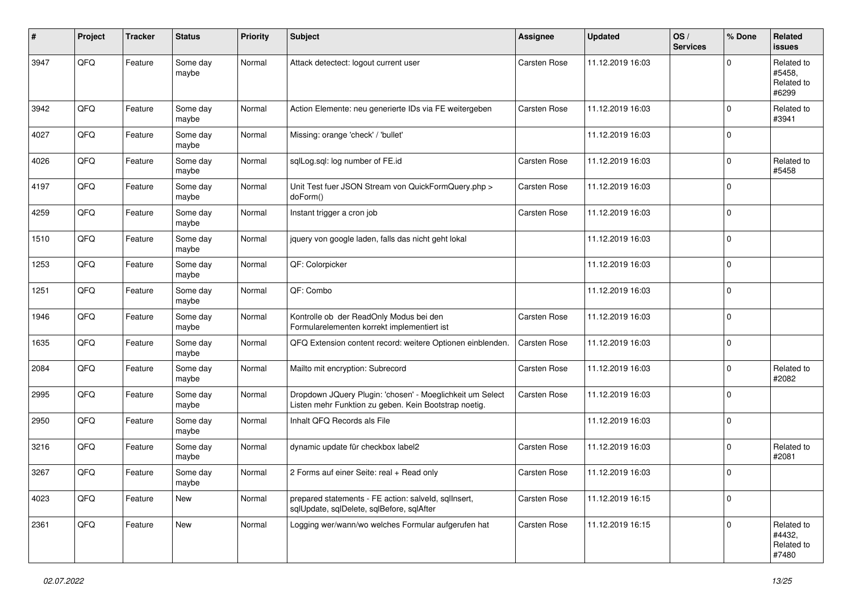| #    | Project | <b>Tracker</b> | <b>Status</b>     | <b>Priority</b> | <b>Subject</b>                                                                                                     | <b>Assignee</b>     | <b>Updated</b>   | OS/<br><b>Services</b> | % Done      | Related<br><b>issues</b>                    |
|------|---------|----------------|-------------------|-----------------|--------------------------------------------------------------------------------------------------------------------|---------------------|------------------|------------------------|-------------|---------------------------------------------|
| 3947 | QFQ     | Feature        | Some day<br>maybe | Normal          | Attack detectect: logout current user                                                                              | <b>Carsten Rose</b> | 11.12.2019 16:03 |                        | $\Omega$    | Related to<br>#5458.<br>Related to<br>#6299 |
| 3942 | QFQ     | Feature        | Some day<br>maybe | Normal          | Action Elemente: neu generierte IDs via FE weitergeben                                                             | Carsten Rose        | 11.12.2019 16:03 |                        | $\Omega$    | Related to<br>#3941                         |
| 4027 | QFQ     | Feature        | Some day<br>maybe | Normal          | Missing: orange 'check' / 'bullet'                                                                                 |                     | 11.12.2019 16:03 |                        | $\mathbf 0$ |                                             |
| 4026 | QFQ     | Feature        | Some day<br>maybe | Normal          | sqlLog.sql: log number of FE.id                                                                                    | <b>Carsten Rose</b> | 11.12.2019 16:03 |                        | $\mathbf 0$ | Related to<br>#5458                         |
| 4197 | QFQ     | Feature        | Some day<br>maybe | Normal          | Unit Test fuer JSON Stream von QuickFormQuery.php ><br>doForm()                                                    | Carsten Rose        | 11.12.2019 16:03 |                        | $\mathbf 0$ |                                             |
| 4259 | QFQ     | Feature        | Some day<br>maybe | Normal          | Instant trigger a cron job                                                                                         | Carsten Rose        | 11.12.2019 16:03 |                        | $\Omega$    |                                             |
| 1510 | QFQ     | Feature        | Some day<br>maybe | Normal          | jquery von google laden, falls das nicht geht lokal                                                                |                     | 11.12.2019 16:03 |                        | $\Omega$    |                                             |
| 1253 | QFQ     | Feature        | Some day<br>maybe | Normal          | QF: Colorpicker                                                                                                    |                     | 11.12.2019 16:03 |                        | $\Omega$    |                                             |
| 1251 | QFQ     | Feature        | Some day<br>maybe | Normal          | QF: Combo                                                                                                          |                     | 11.12.2019 16:03 |                        | $\Omega$    |                                             |
| 1946 | QFQ     | Feature        | Some day<br>maybe | Normal          | Kontrolle ob der ReadOnly Modus bei den<br>Formularelementen korrekt implementiert ist                             | <b>Carsten Rose</b> | 11.12.2019 16:03 |                        | $\mathbf 0$ |                                             |
| 1635 | QFQ     | Feature        | Some day<br>maybe | Normal          | QFQ Extension content record: weitere Optionen einblenden.                                                         | <b>Carsten Rose</b> | 11.12.2019 16:03 |                        | $\mathbf 0$ |                                             |
| 2084 | QFQ     | Feature        | Some day<br>maybe | Normal          | Mailto mit encryption: Subrecord                                                                                   | <b>Carsten Rose</b> | 11.12.2019 16:03 |                        | $\mathbf 0$ | Related to<br>#2082                         |
| 2995 | QFQ     | Feature        | Some day<br>maybe | Normal          | Dropdown JQuery Plugin: 'chosen' - Moeglichkeit um Select<br>Listen mehr Funktion zu geben. Kein Bootstrap noetig. | Carsten Rose        | 11.12.2019 16:03 |                        | $\Omega$    |                                             |
| 2950 | QFQ     | Feature        | Some day<br>maybe | Normal          | Inhalt QFQ Records als File                                                                                        |                     | 11.12.2019 16:03 |                        | $\mathbf 0$ |                                             |
| 3216 | QFQ     | Feature        | Some day<br>maybe | Normal          | dynamic update für checkbox label2                                                                                 | <b>Carsten Rose</b> | 11.12.2019 16:03 |                        | $\Omega$    | Related to<br>#2081                         |
| 3267 | QFQ     | Feature        | Some day<br>maybe | Normal          | 2 Forms auf einer Seite: real + Read only                                                                          | Carsten Rose        | 11.12.2019 16:03 |                        | $\Omega$    |                                             |
| 4023 | QFQ     | Feature        | New               | Normal          | prepared statements - FE action: salveld, sqllnsert,<br>sqlUpdate, sqlDelete, sqlBefore, sqlAfter                  | Carsten Rose        | 11.12.2019 16:15 |                        | 0           |                                             |
| 2361 | QFQ     | Feature        | New               | Normal          | Logging wer/wann/wo welches Formular aufgerufen hat                                                                | Carsten Rose        | 11.12.2019 16:15 |                        | $\mathbf 0$ | Related to<br>#4432,<br>Related to<br>#7480 |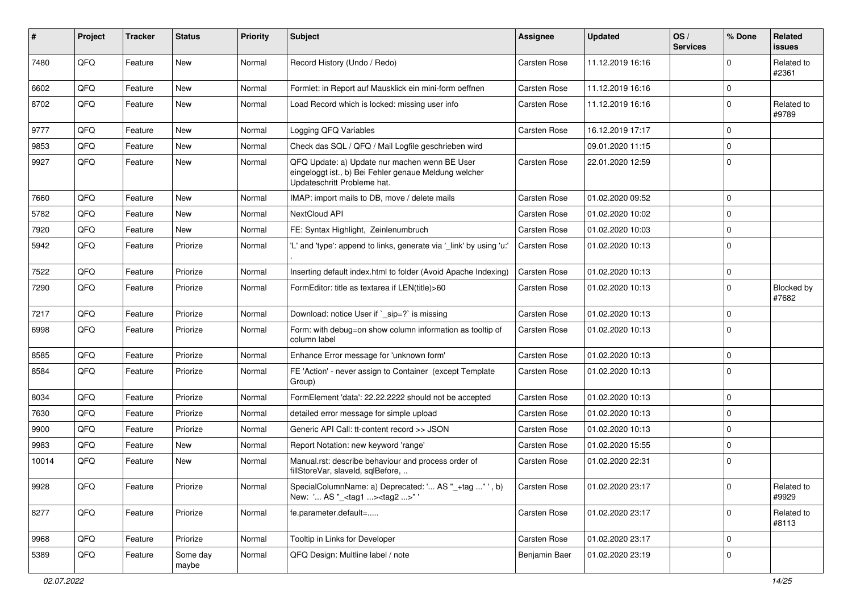| #     | Project | <b>Tracker</b> | <b>Status</b>     | <b>Priority</b> | Subject                                                                                                                               | Assignee            | <b>Updated</b>   | OS/<br><b>Services</b> | % Done       | Related<br>issues   |
|-------|---------|----------------|-------------------|-----------------|---------------------------------------------------------------------------------------------------------------------------------------|---------------------|------------------|------------------------|--------------|---------------------|
| 7480  | QFQ     | Feature        | <b>New</b>        | Normal          | Record History (Undo / Redo)                                                                                                          | Carsten Rose        | 11.12.2019 16:16 |                        | $\mathbf 0$  | Related to<br>#2361 |
| 6602  | QFQ     | Feature        | <b>New</b>        | Normal          | Formlet: in Report auf Mausklick ein mini-form oeffnen                                                                                | Carsten Rose        | 11.12.2019 16:16 |                        | 0            |                     |
| 8702  | QFQ     | Feature        | <b>New</b>        | Normal          | Load Record which is locked: missing user info                                                                                        | Carsten Rose        | 11.12.2019 16:16 |                        | $\mathbf 0$  | Related to<br>#9789 |
| 9777  | QFQ     | Feature        | <b>New</b>        | Normal          | Logging QFQ Variables                                                                                                                 | Carsten Rose        | 16.12.2019 17:17 |                        | $\mathbf 0$  |                     |
| 9853  | QFQ     | Feature        | New               | Normal          | Check das SQL / QFQ / Mail Logfile geschrieben wird                                                                                   |                     | 09.01.2020 11:15 |                        | 0            |                     |
| 9927  | QFQ     | Feature        | New               | Normal          | QFQ Update: a) Update nur machen wenn BE User<br>eingeloggt ist., b) Bei Fehler genaue Meldung welcher<br>Updateschritt Probleme hat. | <b>Carsten Rose</b> | 22.01.2020 12:59 |                        | $\mathbf 0$  |                     |
| 7660  | QFQ     | Feature        | <b>New</b>        | Normal          | IMAP: import mails to DB, move / delete mails                                                                                         | Carsten Rose        | 01.02.2020 09:52 |                        | $\mathbf 0$  |                     |
| 5782  | QFQ     | Feature        | <b>New</b>        | Normal          | NextCloud API                                                                                                                         | Carsten Rose        | 01.02.2020 10:02 |                        | $\mathbf 0$  |                     |
| 7920  | QFQ     | Feature        | <b>New</b>        | Normal          | FE: Syntax Highlight, Zeinlenumbruch                                                                                                  | Carsten Rose        | 01.02.2020 10:03 |                        | $\mathbf 0$  |                     |
| 5942  | QFQ     | Feature        | Priorize          | Normal          | 'L' and 'type': append to links, generate via '_link' by using 'u:'                                                                   | Carsten Rose        | 01.02.2020 10:13 |                        | $\mathbf 0$  |                     |
| 7522  | QFQ     | Feature        | Priorize          | Normal          | Inserting default index.html to folder (Avoid Apache Indexing)                                                                        | Carsten Rose        | 01.02.2020 10:13 |                        | 0            |                     |
| 7290  | QFQ     | Feature        | Priorize          | Normal          | FormEditor: title as textarea if LEN(title)>60                                                                                        | Carsten Rose        | 01.02.2020 10:13 |                        | $\mathbf 0$  | Blocked by<br>#7682 |
| 7217  | QFQ     | Feature        | Priorize          | Normal          | Download: notice User if `_sip=?` is missing                                                                                          | Carsten Rose        | 01.02.2020 10:13 |                        | $\mathbf 0$  |                     |
| 6998  | QFQ     | Feature        | Priorize          | Normal          | Form: with debug=on show column information as tooltip of<br>column label                                                             | Carsten Rose        | 01.02.2020 10:13 |                        | $\mathbf 0$  |                     |
| 8585  | QFQ     | Feature        | Priorize          | Normal          | Enhance Error message for 'unknown form'                                                                                              | Carsten Rose        | 01.02.2020 10:13 |                        | 0            |                     |
| 8584  | QFQ     | Feature        | Priorize          | Normal          | FE 'Action' - never assign to Container (except Template)<br>Group)                                                                   | Carsten Rose        | 01.02.2020 10:13 |                        | $\mathbf 0$  |                     |
| 8034  | QFQ     | Feature        | Priorize          | Normal          | FormElement 'data': 22.22.2222 should not be accepted                                                                                 | Carsten Rose        | 01.02.2020 10:13 |                        | $\mathbf 0$  |                     |
| 7630  | QFQ     | Feature        | Priorize          | Normal          | detailed error message for simple upload                                                                                              | Carsten Rose        | 01.02.2020 10:13 |                        | 0            |                     |
| 9900  | QFQ     | Feature        | Priorize          | Normal          | Generic API Call: tt-content record >> JSON                                                                                           | Carsten Rose        | 01.02.2020 10:13 |                        | $\mathbf 0$  |                     |
| 9983  | QFQ     | Feature        | <b>New</b>        | Normal          | Report Notation: new keyword 'range'                                                                                                  | Carsten Rose        | 01.02.2020 15:55 |                        | 0            |                     |
| 10014 | QFQ     | Feature        | New               | Normal          | Manual.rst: describe behaviour and process order of<br>fillStoreVar, slaveId, sqlBefore,                                              | Carsten Rose        | 01.02.2020 22:31 |                        | $\mathbf 0$  |                     |
| 9928  | QFQ     | Feature        | Priorize          | Normal          | SpecialColumnName: a) Deprecated: ' AS "_+tag "', b)<br>New: ' AS "_ <tag1><tag2>"'</tag2></tag1>                                     | Carsten Rose        | 01.02.2020 23:17 |                        | 0            | Related to<br>#9929 |
| 8277  | QFQ     | Feature        | Priorize          | Normal          | fe.parameter.default=                                                                                                                 | Carsten Rose        | 01.02.2020 23:17 |                        | $\mathsf{O}$ | Related to<br>#8113 |
| 9968  | QFQ     | Feature        | Priorize          | Normal          | Tooltip in Links for Developer                                                                                                        | Carsten Rose        | 01.02.2020 23:17 |                        | $\mathbf 0$  |                     |
| 5389  | QFQ     | Feature        | Some day<br>maybe | Normal          | QFQ Design: Multline label / note                                                                                                     | Benjamin Baer       | 01.02.2020 23:19 |                        | 0            |                     |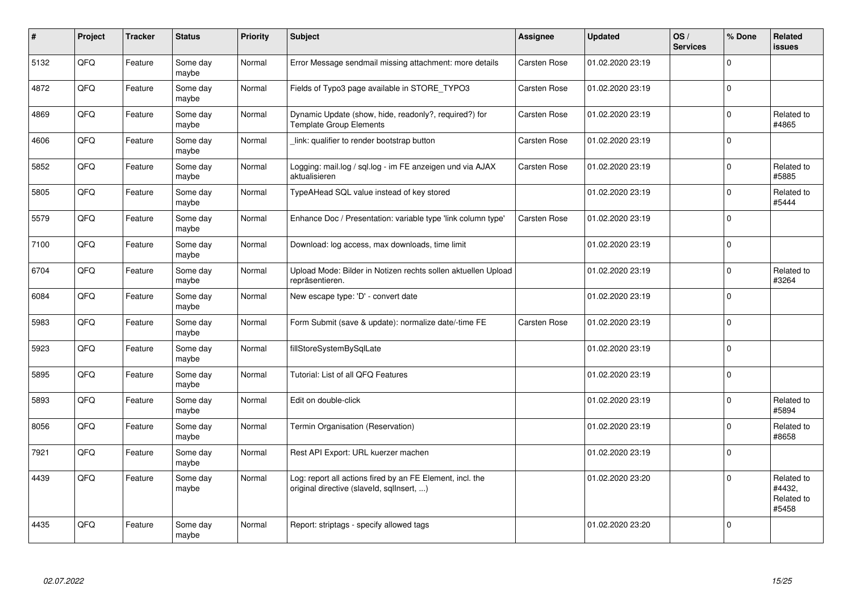| $\sharp$ | Project | <b>Tracker</b> | <b>Status</b>     | <b>Priority</b> | <b>Subject</b>                                                                                         | Assignee     | <b>Updated</b>   | OS/<br><b>Services</b> | % Done      | Related<br><b>issues</b>                    |
|----------|---------|----------------|-------------------|-----------------|--------------------------------------------------------------------------------------------------------|--------------|------------------|------------------------|-------------|---------------------------------------------|
| 5132     | QFQ     | Feature        | Some day<br>maybe | Normal          | Error Message sendmail missing attachment: more details                                                | Carsten Rose | 01.02.2020 23:19 |                        | $\Omega$    |                                             |
| 4872     | QFQ     | Feature        | Some day<br>maybe | Normal          | Fields of Typo3 page available in STORE_TYPO3                                                          | Carsten Rose | 01.02.2020 23:19 |                        | $\Omega$    |                                             |
| 4869     | QFQ     | Feature        | Some day<br>maybe | Normal          | Dynamic Update (show, hide, readonly?, required?) for<br><b>Template Group Elements</b>                | Carsten Rose | 01.02.2020 23:19 |                        | $\mathbf 0$ | Related to<br>#4865                         |
| 4606     | QFQ     | Feature        | Some day<br>maybe | Normal          | link: qualifier to render bootstrap button                                                             | Carsten Rose | 01.02.2020 23:19 |                        | $\mathbf 0$ |                                             |
| 5852     | QFQ     | Feature        | Some day<br>maybe | Normal          | Logging: mail.log / sql.log - im FE anzeigen und via AJAX<br>aktualisieren                             | Carsten Rose | 01.02.2020 23:19 |                        | $\Omega$    | Related to<br>#5885                         |
| 5805     | QFQ     | Feature        | Some day<br>maybe | Normal          | TypeAHead SQL value instead of key stored                                                              |              | 01.02.2020 23:19 |                        | $\Omega$    | Related to<br>#5444                         |
| 5579     | QFQ     | Feature        | Some day<br>maybe | Normal          | Enhance Doc / Presentation: variable type 'link column type'                                           | Carsten Rose | 01.02.2020 23:19 |                        | $\Omega$    |                                             |
| 7100     | QFQ     | Feature        | Some day<br>maybe | Normal          | Download: log access, max downloads, time limit                                                        |              | 01.02.2020 23:19 |                        | $\Omega$    |                                             |
| 6704     | QFQ     | Feature        | Some day<br>maybe | Normal          | Upload Mode: Bilder in Notizen rechts sollen aktuellen Upload<br>repräsentieren.                       |              | 01.02.2020 23:19 |                        | $\Omega$    | Related to<br>#3264                         |
| 6084     | QFQ     | Feature        | Some day<br>maybe | Normal          | New escape type: 'D' - convert date                                                                    |              | 01.02.2020 23:19 |                        | $\Omega$    |                                             |
| 5983     | QFQ     | Feature        | Some day<br>maybe | Normal          | Form Submit (save & update): normalize date/-time FE                                                   | Carsten Rose | 01.02.2020 23:19 |                        | $\Omega$    |                                             |
| 5923     | QFQ     | Feature        | Some day<br>maybe | Normal          | fillStoreSystemBySqlLate                                                                               |              | 01.02.2020 23:19 |                        | $\mathbf 0$ |                                             |
| 5895     | QFQ     | Feature        | Some day<br>maybe | Normal          | Tutorial: List of all QFQ Features                                                                     |              | 01.02.2020 23:19 |                        | $\mathbf 0$ |                                             |
| 5893     | QFQ     | Feature        | Some day<br>maybe | Normal          | Edit on double-click                                                                                   |              | 01.02.2020 23:19 |                        | $\Omega$    | Related to<br>#5894                         |
| 8056     | QFQ     | Feature        | Some day<br>maybe | Normal          | Termin Organisation (Reservation)                                                                      |              | 01.02.2020 23:19 |                        | $\Omega$    | Related to<br>#8658                         |
| 7921     | QFQ     | Feature        | Some day<br>maybe | Normal          | Rest API Export: URL kuerzer machen                                                                    |              | 01.02.2020 23:19 |                        | $\Omega$    |                                             |
| 4439     | QFQ     | Feature        | Some day<br>maybe | Normal          | Log: report all actions fired by an FE Element, incl. the<br>original directive (slaveld, sqllnsert, ) |              | 01.02.2020 23:20 |                        | $\Omega$    | Related to<br>#4432.<br>Related to<br>#5458 |
| 4435     | QFQ     | Feature        | Some day<br>maybe | Normal          | Report: striptags - specify allowed tags                                                               |              | 01.02.2020 23:20 |                        | $\Omega$    |                                             |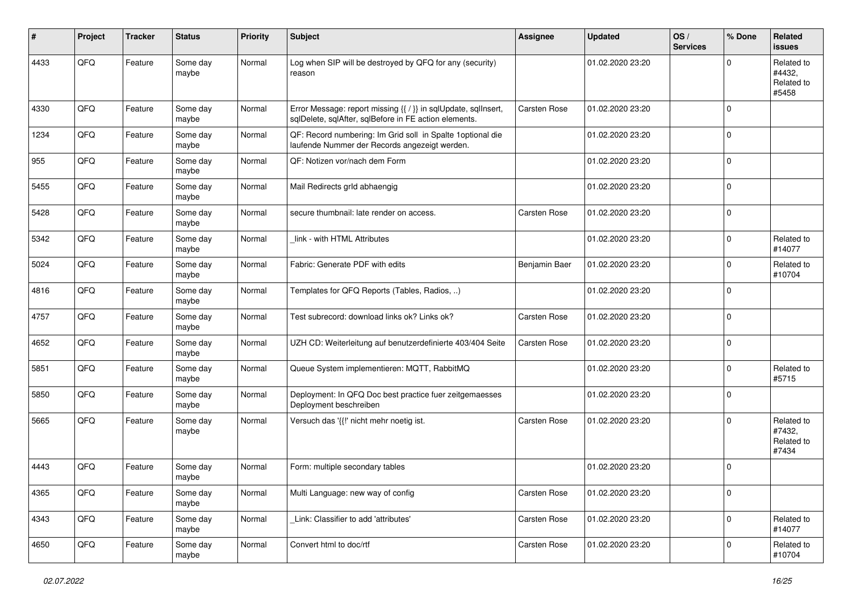| #    | Project | <b>Tracker</b> | <b>Status</b>     | <b>Priority</b> | Subject                                                                                                                 | <b>Assignee</b>     | <b>Updated</b>   | OS/<br><b>Services</b> | % Done       | Related<br>issues                           |
|------|---------|----------------|-------------------|-----------------|-------------------------------------------------------------------------------------------------------------------------|---------------------|------------------|------------------------|--------------|---------------------------------------------|
| 4433 | QFQ     | Feature        | Some day<br>maybe | Normal          | Log when SIP will be destroyed by QFQ for any (security)<br>reason                                                      |                     | 01.02.2020 23:20 |                        | <sup>0</sup> | Related to<br>#4432,<br>Related to<br>#5458 |
| 4330 | QFQ     | Feature        | Some day<br>maybe | Normal          | Error Message: report missing {{ / }} in sqlUpdate, sqlInsert,<br>sqlDelete, sqlAfter, sqlBefore in FE action elements. | <b>Carsten Rose</b> | 01.02.2020 23:20 |                        | $\Omega$     |                                             |
| 1234 | QFQ     | Feature        | Some day<br>maybe | Normal          | QF: Record numbering: Im Grid soll in Spalte 1optional die<br>laufende Nummer der Records angezeigt werden.             |                     | 01.02.2020 23:20 |                        | $\mathbf 0$  |                                             |
| 955  | QFQ     | Feature        | Some day<br>maybe | Normal          | QF: Notizen vor/nach dem Form                                                                                           |                     | 01.02.2020 23:20 |                        | $\mathbf 0$  |                                             |
| 5455 | QFQ     | Feature        | Some day<br>maybe | Normal          | Mail Redirects grld abhaengig                                                                                           |                     | 01.02.2020 23:20 |                        | $\Omega$     |                                             |
| 5428 | QFQ     | Feature        | Some day<br>maybe | Normal          | secure thumbnail: late render on access.                                                                                | <b>Carsten Rose</b> | 01.02.2020 23:20 |                        | $\mathbf 0$  |                                             |
| 5342 | QFQ     | Feature        | Some day<br>maybe | Normal          | link - with HTML Attributes                                                                                             |                     | 01.02.2020 23:20 |                        | $\Omega$     | Related to<br>#14077                        |
| 5024 | QFQ     | Feature        | Some day<br>maybe | Normal          | Fabric: Generate PDF with edits                                                                                         | Benjamin Baer       | 01.02.2020 23:20 |                        | $\Omega$     | Related to<br>#10704                        |
| 4816 | QFQ     | Feature        | Some day<br>maybe | Normal          | Templates for QFQ Reports (Tables, Radios, )                                                                            |                     | 01.02.2020 23:20 |                        | $\Omega$     |                                             |
| 4757 | QFQ     | Feature        | Some day<br>maybe | Normal          | Test subrecord: download links ok? Links ok?                                                                            | Carsten Rose        | 01.02.2020 23:20 |                        | $\mathbf 0$  |                                             |
| 4652 | QFQ     | Feature        | Some day<br>maybe | Normal          | UZH CD: Weiterleitung auf benutzerdefinierte 403/404 Seite                                                              | <b>Carsten Rose</b> | 01.02.2020 23:20 |                        | $\Omega$     |                                             |
| 5851 | QFQ     | Feature        | Some day<br>maybe | Normal          | Queue System implementieren: MQTT, RabbitMQ                                                                             |                     | 01.02.2020 23:20 |                        | $\Omega$     | Related to<br>#5715                         |
| 5850 | QFQ     | Feature        | Some day<br>maybe | Normal          | Deployment: In QFQ Doc best practice fuer zeitgemaesses<br>Deployment beschreiben                                       |                     | 01.02.2020 23:20 |                        | $\Omega$     |                                             |
| 5665 | QFQ     | Feature        | Some day<br>maybe | Normal          | Versuch das '{{!' nicht mehr noetig ist.                                                                                | Carsten Rose        | 01.02.2020 23:20 |                        | $\Omega$     | Related to<br>#7432,<br>Related to<br>#7434 |
| 4443 | QFQ     | Feature        | Some day<br>maybe | Normal          | Form: multiple secondary tables                                                                                         |                     | 01.02.2020 23:20 |                        | $\Omega$     |                                             |
| 4365 | QFQ     | Feature        | Some day<br>maybe | Normal          | Multi Language: new way of config                                                                                       | Carsten Rose        | 01.02.2020 23:20 |                        | $\mathbf 0$  |                                             |
| 4343 | QFQ     | Feature        | Some day<br>maybe | Normal          | Link: Classifier to add 'attributes'                                                                                    | Carsten Rose        | 01.02.2020 23:20 |                        | 0            | Related to<br>#14077                        |
| 4650 | QFQ     | Feature        | Some day<br>maybe | Normal          | Convert html to doc/rtf                                                                                                 | Carsten Rose        | 01.02.2020 23:20 |                        | $\Omega$     | Related to<br>#10704                        |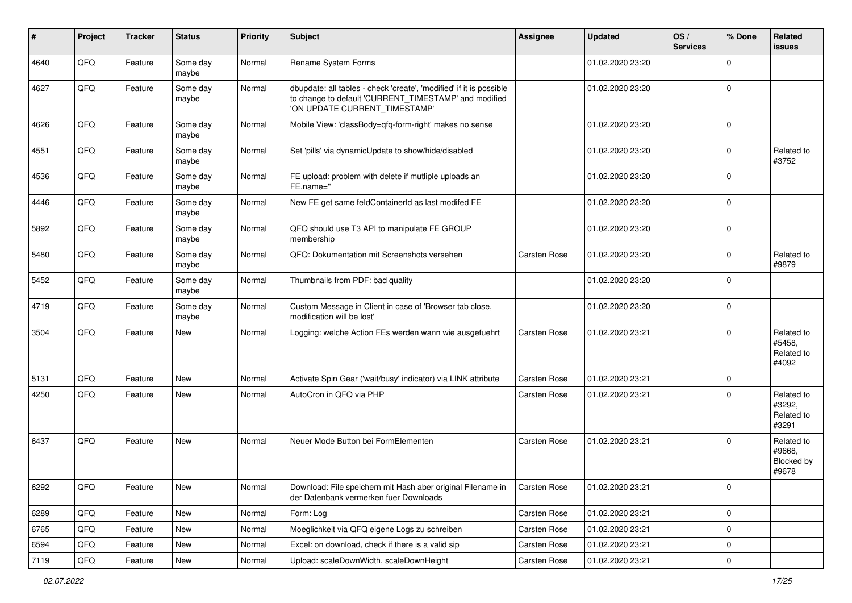| #    | Project        | <b>Tracker</b> | <b>Status</b>     | <b>Priority</b> | <b>Subject</b>                                                                                                                                                | <b>Assignee</b>     | <b>Updated</b>   | OS/<br><b>Services</b> | % Done      | Related<br>issues                           |
|------|----------------|----------------|-------------------|-----------------|---------------------------------------------------------------------------------------------------------------------------------------------------------------|---------------------|------------------|------------------------|-------------|---------------------------------------------|
| 4640 | QFQ            | Feature        | Some day<br>maybe | Normal          | Rename System Forms                                                                                                                                           |                     | 01.02.2020 23:20 |                        | $\Omega$    |                                             |
| 4627 | QFQ            | Feature        | Some day<br>maybe | Normal          | dbupdate: all tables - check 'create', 'modified' if it is possible<br>to change to default 'CURRENT_TIMESTAMP' and modified<br>'ON UPDATE CURRENT_TIMESTAMP' |                     | 01.02.2020 23:20 |                        | 0           |                                             |
| 4626 | QFQ            | Feature        | Some day<br>maybe | Normal          | Mobile View: 'classBody=qfq-form-right' makes no sense                                                                                                        |                     | 01.02.2020 23:20 |                        | $\mathbf 0$ |                                             |
| 4551 | QFQ            | Feature        | Some day<br>maybe | Normal          | Set 'pills' via dynamicUpdate to show/hide/disabled                                                                                                           |                     | 01.02.2020 23:20 |                        | $\Omega$    | Related to<br>#3752                         |
| 4536 | QFQ            | Feature        | Some day<br>maybe | Normal          | FE upload: problem with delete if mutliple uploads an<br>FE.name="                                                                                            |                     | 01.02.2020 23:20 |                        | $\Omega$    |                                             |
| 4446 | QFQ            | Feature        | Some day<br>maybe | Normal          | New FE get same feldContainerId as last modifed FE                                                                                                            |                     | 01.02.2020 23:20 |                        | $\Omega$    |                                             |
| 5892 | QFQ            | Feature        | Some day<br>maybe | Normal          | QFQ should use T3 API to manipulate FE GROUP<br>membership                                                                                                    |                     | 01.02.2020 23:20 |                        | $\Omega$    |                                             |
| 5480 | QFQ            | Feature        | Some day<br>maybe | Normal          | QFQ: Dokumentation mit Screenshots versehen                                                                                                                   | Carsten Rose        | 01.02.2020 23:20 |                        | $\Omega$    | Related to<br>#9879                         |
| 5452 | QFQ            | Feature        | Some day<br>maybe | Normal          | Thumbnails from PDF: bad quality                                                                                                                              |                     | 01.02.2020 23:20 |                        | $\Omega$    |                                             |
| 4719 | QFQ            | Feature        | Some day<br>maybe | Normal          | Custom Message in Client in case of 'Browser tab close,<br>modification will be lost'                                                                         |                     | 01.02.2020 23:20 |                        | $\mathbf 0$ |                                             |
| 3504 | QFQ            | Feature        | <b>New</b>        | Normal          | Logging: welche Action FEs werden wann wie ausgefuehrt                                                                                                        | <b>Carsten Rose</b> | 01.02.2020 23:21 |                        | $\Omega$    | Related to<br>#5458,<br>Related to<br>#4092 |
| 5131 | QFQ            | Feature        | <b>New</b>        | Normal          | Activate Spin Gear ('wait/busy' indicator) via LINK attribute                                                                                                 | <b>Carsten Rose</b> | 01.02.2020 23:21 |                        | $\mathbf 0$ |                                             |
| 4250 | QFQ            | Feature        | <b>New</b>        | Normal          | AutoCron in QFQ via PHP                                                                                                                                       | Carsten Rose        | 01.02.2020 23:21 |                        | $\Omega$    | Related to<br>#3292,<br>Related to<br>#3291 |
| 6437 | QFQ            | Feature        | <b>New</b>        | Normal          | Neuer Mode Button bei FormElementen                                                                                                                           | <b>Carsten Rose</b> | 01.02.2020 23:21 |                        | $\Omega$    | Related to<br>#9668,<br>Blocked by<br>#9678 |
| 6292 | QFQ            | Feature        | <b>New</b>        | Normal          | Download: File speichern mit Hash aber original Filename in<br>der Datenbank vermerken fuer Downloads                                                         | Carsten Rose        | 01.02.2020 23:21 |                        | 0           |                                             |
| 6289 | QFQ            | Feature        | <b>New</b>        | Normal          | Form: Log                                                                                                                                                     | Carsten Rose        | 01.02.2020 23:21 |                        | 0           |                                             |
| 6765 | QFQ            | Feature        | <b>New</b>        | Normal          | Moeglichkeit via QFQ eigene Logs zu schreiben                                                                                                                 | Carsten Rose        | 01.02.2020 23:21 |                        | $\mathbf 0$ |                                             |
| 6594 | QFQ            | Feature        | New               | Normal          | Excel: on download, check if there is a valid sip                                                                                                             | Carsten Rose        | 01.02.2020 23:21 |                        | 0           |                                             |
| 7119 | $\mathsf{QFQ}$ | Feature        | New               | Normal          | Upload: scaleDownWidth, scaleDownHeight                                                                                                                       | Carsten Rose        | 01.02.2020 23:21 |                        | $\mathbf 0$ |                                             |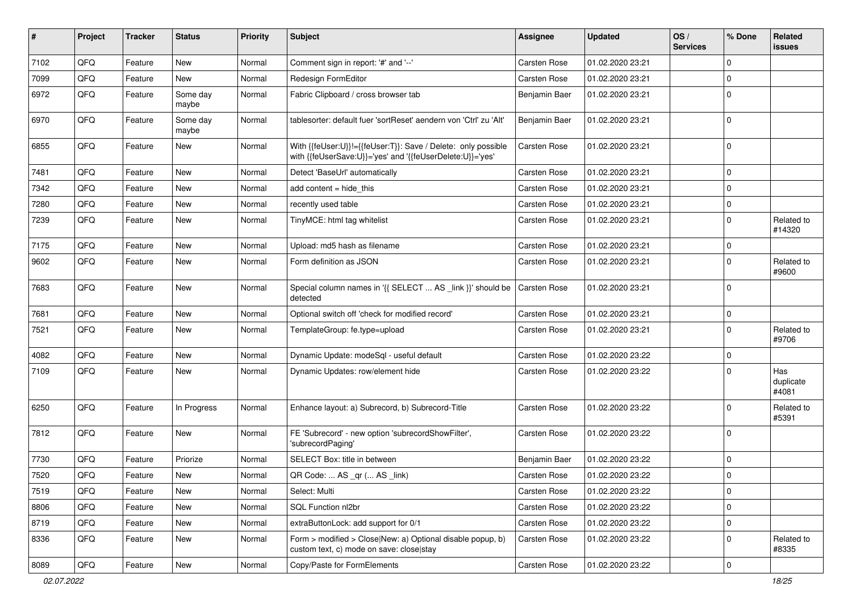| #    | Project | <b>Tracker</b> | <b>Status</b>     | <b>Priority</b> | <b>Subject</b>                                                                                                             | Assignee            | <b>Updated</b>   | OS/<br><b>Services</b> | % Done      | Related<br>issues         |
|------|---------|----------------|-------------------|-----------------|----------------------------------------------------------------------------------------------------------------------------|---------------------|------------------|------------------------|-------------|---------------------------|
| 7102 | QFQ     | Feature        | <b>New</b>        | Normal          | Comment sign in report: '#' and '--'                                                                                       | Carsten Rose        | 01.02.2020 23:21 |                        | 0           |                           |
| 7099 | QFQ     | Feature        | New               | Normal          | <b>Redesign FormEditor</b>                                                                                                 | <b>Carsten Rose</b> | 01.02.2020 23:21 |                        | $\mathbf 0$ |                           |
| 6972 | QFQ     | Feature        | Some day<br>maybe | Normal          | Fabric Clipboard / cross browser tab                                                                                       | Benjamin Baer       | 01.02.2020 23:21 |                        | $\mathbf 0$ |                           |
| 6970 | QFQ     | Feature        | Some day<br>maybe | Normal          | tablesorter: default fuer 'sortReset' aendern von 'Ctrl' zu 'Alt'                                                          | Benjamin Baer       | 01.02.2020 23:21 |                        | $\mathbf 0$ |                           |
| 6855 | QFQ     | Feature        | New               | Normal          | With {{feUser:U}}!={{feUser:T}}: Save / Delete: only possible<br>with {{feUserSave:U}}='yes' and '{{feUserDelete:U}}='yes' | <b>Carsten Rose</b> | 01.02.2020 23:21 |                        | $\mathbf 0$ |                           |
| 7481 | QFQ     | Feature        | <b>New</b>        | Normal          | Detect 'BaseUrl' automatically                                                                                             | Carsten Rose        | 01.02.2020 23:21 |                        | $\mathbf 0$ |                           |
| 7342 | QFQ     | Feature        | New               | Normal          | add content $=$ hide this                                                                                                  | Carsten Rose        | 01.02.2020 23:21 |                        | 0           |                           |
| 7280 | QFQ     | Feature        | New               | Normal          | recently used table                                                                                                        | Carsten Rose        | 01.02.2020 23:21 |                        | 0           |                           |
| 7239 | QFQ     | Feature        | <b>New</b>        | Normal          | TinyMCE: html tag whitelist                                                                                                | Carsten Rose        | 01.02.2020 23:21 |                        | $\mathbf 0$ | Related to<br>#14320      |
| 7175 | QFQ     | Feature        | <b>New</b>        | Normal          | Upload: md5 hash as filename                                                                                               | Carsten Rose        | 01.02.2020 23:21 |                        | 0           |                           |
| 9602 | QFQ     | Feature        | New               | Normal          | Form definition as JSON                                                                                                    | Carsten Rose        | 01.02.2020 23:21 |                        | $\mathbf 0$ | Related to<br>#9600       |
| 7683 | QFQ     | Feature        | <b>New</b>        | Normal          | Special column names in '{{ SELECT  AS _link }}' should be<br>detected                                                     | Carsten Rose        | 01.02.2020 23:21 |                        | $\mathbf 0$ |                           |
| 7681 | QFQ     | Feature        | <b>New</b>        | Normal          | Optional switch off 'check for modified record'                                                                            | Carsten Rose        | 01.02.2020 23:21 |                        | $\mathbf 0$ |                           |
| 7521 | QFQ     | Feature        | New               | Normal          | TemplateGroup: fe.type=upload                                                                                              | Carsten Rose        | 01.02.2020 23:21 |                        | $\mathbf 0$ | Related to<br>#9706       |
| 4082 | QFQ     | Feature        | <b>New</b>        | Normal          | Dynamic Update: modeSql - useful default                                                                                   | Carsten Rose        | 01.02.2020 23:22 |                        | 0           |                           |
| 7109 | QFQ     | Feature        | <b>New</b>        | Normal          | Dynamic Updates: row/element hide                                                                                          | Carsten Rose        | 01.02.2020 23:22 |                        | 0           | Has<br>duplicate<br>#4081 |
| 6250 | QFQ     | Feature        | In Progress       | Normal          | Enhance layout: a) Subrecord, b) Subrecord-Title                                                                           | Carsten Rose        | 01.02.2020 23:22 |                        | $\mathbf 0$ | Related to<br>#5391       |
| 7812 | QFQ     | Feature        | <b>New</b>        | Normal          | FE 'Subrecord' - new option 'subrecordShowFilter',<br>'subrecordPaging'                                                    | Carsten Rose        | 01.02.2020 23:22 |                        | $\mathbf 0$ |                           |
| 7730 | QFQ     | Feature        | Priorize          | Normal          | SELECT Box: title in between                                                                                               | Benjamin Baer       | 01.02.2020 23:22 |                        | $\mathbf 0$ |                           |
| 7520 | QFQ     | Feature        | New               | Normal          | QR Code:  AS _qr ( AS _link)                                                                                               | Carsten Rose        | 01.02.2020 23:22 |                        | 0           |                           |
| 7519 | QFQ     | Feature        | New               | Normal          | Select: Multi                                                                                                              | Carsten Rose        | 01.02.2020 23:22 |                        | 0           |                           |
| 8806 | QFQ     | Feature        | New               | Normal          | SQL Function nl2br                                                                                                         | Carsten Rose        | 01.02.2020 23:22 |                        | 0           |                           |
| 8719 | QFQ     | Feature        | New               | Normal          | extraButtonLock: add support for 0/1                                                                                       | Carsten Rose        | 01.02.2020 23:22 |                        | $\mathbf 0$ |                           |
| 8336 | QFQ     | Feature        | New               | Normal          | Form > modified > Close New: a) Optional disable popup, b)<br>custom text, c) mode on save: close stay                     | Carsten Rose        | 01.02.2020 23:22 |                        | 0           | Related to<br>#8335       |
| 8089 | QFQ     | Feature        | New               | Normal          | Copy/Paste for FormElements                                                                                                | Carsten Rose        | 01.02.2020 23:22 |                        | $\pmb{0}$   |                           |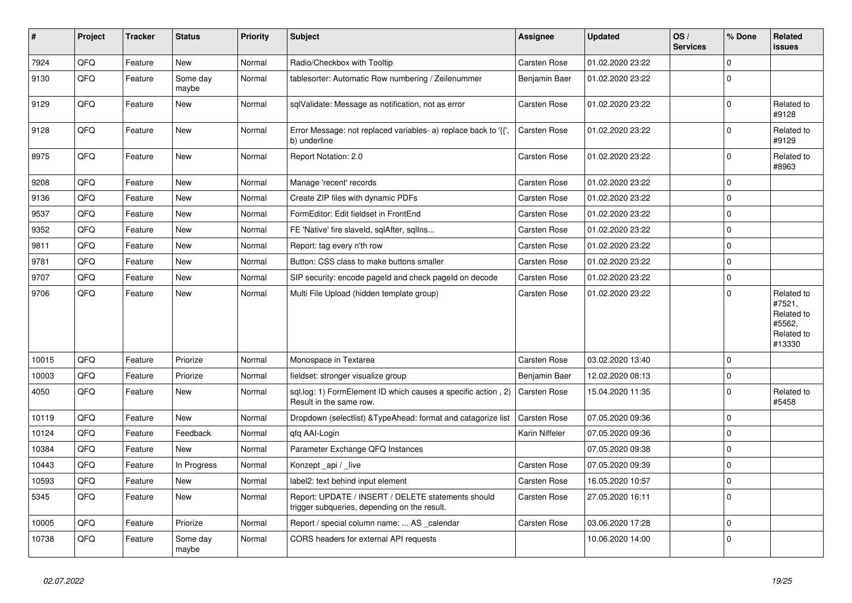| $\vert$ # | Project | <b>Tracker</b> | <b>Status</b>     | <b>Priority</b> | <b>Subject</b>                                                                                     | Assignee            | <b>Updated</b>   | OS/<br><b>Services</b> | % Done      | Related<br>issues                                                    |
|-----------|---------|----------------|-------------------|-----------------|----------------------------------------------------------------------------------------------------|---------------------|------------------|------------------------|-------------|----------------------------------------------------------------------|
| 7924      | QFQ     | Feature        | <b>New</b>        | Normal          | Radio/Checkbox with Tooltip                                                                        | <b>Carsten Rose</b> | 01.02.2020 23:22 |                        | $\Omega$    |                                                                      |
| 9130      | QFQ     | Feature        | Some day<br>maybe | Normal          | tablesorter: Automatic Row numbering / Zeilenummer                                                 | Benjamin Baer       | 01.02.2020 23:22 |                        | $\Omega$    |                                                                      |
| 9129      | QFQ     | Feature        | New               | Normal          | sqlValidate: Message as notification, not as error                                                 | Carsten Rose        | 01.02.2020 23:22 |                        | $\Omega$    | Related to<br>#9128                                                  |
| 9128      | QFQ     | Feature        | <b>New</b>        | Normal          | Error Message: not replaced variables- a) replace back to '{',<br>b) underline                     | <b>Carsten Rose</b> | 01.02.2020 23:22 |                        | $\Omega$    | Related to<br>#9129                                                  |
| 8975      | QFQ     | Feature        | <b>New</b>        | Normal          | Report Notation: 2.0                                                                               | Carsten Rose        | 01.02.2020 23:22 |                        | $\Omega$    | Related to<br>#8963                                                  |
| 9208      | QFQ     | Feature        | New               | Normal          | Manage 'recent' records                                                                            | <b>Carsten Rose</b> | 01.02.2020 23:22 |                        | $\Omega$    |                                                                      |
| 9136      | QFQ     | Feature        | <b>New</b>        | Normal          | Create ZIP files with dynamic PDFs                                                                 | <b>Carsten Rose</b> | 01.02.2020 23:22 |                        | $\mathbf 0$ |                                                                      |
| 9537      | QFQ     | Feature        | New               | Normal          | FormEditor: Edit fieldset in FrontEnd                                                              | <b>Carsten Rose</b> | 01.02.2020 23:22 |                        | $\mathbf 0$ |                                                                      |
| 9352      | QFQ     | Feature        | <b>New</b>        | Normal          | FE 'Native' fire slaveld, sqlAfter, sqlIns                                                         | Carsten Rose        | 01.02.2020 23:22 |                        | $\Omega$    |                                                                      |
| 9811      | QFQ     | Feature        | New               | Normal          | Report: tag every n'th row                                                                         | Carsten Rose        | 01.02.2020 23:22 |                        | $\Omega$    |                                                                      |
| 9781      | QFQ     | Feature        | New               | Normal          | Button: CSS class to make buttons smaller                                                          | Carsten Rose        | 01.02.2020 23:22 |                        | $\Omega$    |                                                                      |
| 9707      | QFQ     | Feature        | New               | Normal          | SIP security: encode pageld and check pageld on decode                                             | Carsten Rose        | 01.02.2020 23:22 |                        | $\mathbf 0$ |                                                                      |
| 9706      | QFQ     | Feature        | New               | Normal          | Multi File Upload (hidden template group)                                                          | Carsten Rose        | 01.02.2020 23:22 |                        | $\Omega$    | Related to<br>#7521,<br>Related to<br>#5562,<br>Related to<br>#13330 |
| 10015     | QFQ     | Feature        | Priorize          | Normal          | Monospace in Textarea                                                                              | Carsten Rose        | 03.02.2020 13:40 |                        | $\Omega$    |                                                                      |
| 10003     | QFQ     | Feature        | Priorize          | Normal          | fieldset: stronger visualize group                                                                 | Benjamin Baer       | 12.02.2020 08:13 |                        | $\Omega$    |                                                                      |
| 4050      | QFQ     | Feature        | New               | Normal          | sql.log: 1) FormElement ID which causes a specific action, 2)<br>Result in the same row.           | Carsten Rose        | 15.04.2020 11:35 |                        | $\Omega$    | Related to<br>#5458                                                  |
| 10119     | QFQ     | Feature        | <b>New</b>        | Normal          | Dropdown (selectlist) & TypeAhead: format and catagorize list                                      | <b>Carsten Rose</b> | 07.05.2020 09:36 |                        | $\Omega$    |                                                                      |
| 10124     | QFQ     | Feature        | Feedback          | Normal          | qfq AAI-Login                                                                                      | Karin Niffeler      | 07.05.2020 09:36 |                        | $\mathbf 0$ |                                                                      |
| 10384     | QFQ     | Feature        | <b>New</b>        | Normal          | Parameter Exchange QFQ Instances                                                                   |                     | 07.05.2020 09:38 |                        | $\Omega$    |                                                                      |
| 10443     | QFQ     | Feature        | In Progress       | Normal          | Konzept_api / _live                                                                                | Carsten Rose        | 07.05.2020 09:39 |                        | $\Omega$    |                                                                      |
| 10593     | QFQ     | Feature        | <b>New</b>        | Normal          | label2: text behind input element                                                                  | Carsten Rose        | 16.05.2020 10:57 |                        | $\Omega$    |                                                                      |
| 5345      | QFQ     | Feature        | <b>New</b>        | Normal          | Report: UPDATE / INSERT / DELETE statements should<br>trigger subqueries, depending on the result. | Carsten Rose        | 27.05.2020 16:11 |                        | $\Omega$    |                                                                      |
| 10005     | QFQ     | Feature        | Priorize          | Normal          | Report / special column name:  AS calendar                                                         | <b>Carsten Rose</b> | 03.06.2020 17:28 |                        | 0           |                                                                      |
| 10738     | QFQ     | Feature        | Some day<br>maybe | Normal          | CORS headers for external API requests                                                             |                     | 10.06.2020 14:00 |                        | $\Omega$    |                                                                      |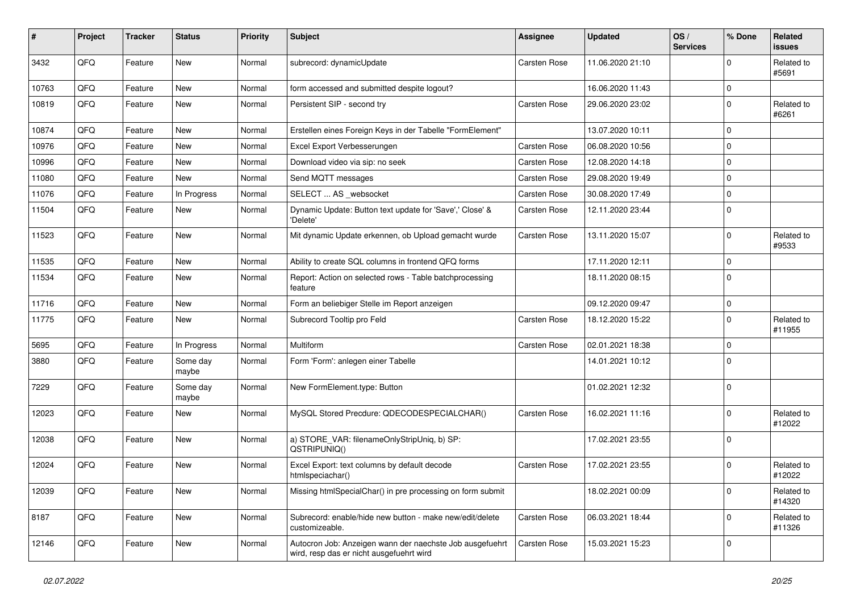| #     | Project | <b>Tracker</b> | <b>Status</b>     | <b>Priority</b> | Subject                                                                                              | <b>Assignee</b>     | <b>Updated</b>   | OS/<br><b>Services</b> | % Done      | Related<br>issues    |
|-------|---------|----------------|-------------------|-----------------|------------------------------------------------------------------------------------------------------|---------------------|------------------|------------------------|-------------|----------------------|
| 3432  | QFQ     | Feature        | <b>New</b>        | Normal          | subrecord: dynamicUpdate                                                                             | <b>Carsten Rose</b> | 11.06.2020 21:10 |                        | $\Omega$    | Related to<br>#5691  |
| 10763 | QFQ     | Feature        | <b>New</b>        | Normal          | form accessed and submitted despite logout?                                                          |                     | 16.06.2020 11:43 |                        | 0           |                      |
| 10819 | QFQ     | Feature        | New               | Normal          | Persistent SIP - second try                                                                          | <b>Carsten Rose</b> | 29.06.2020 23:02 |                        | $\Omega$    | Related to<br>#6261  |
| 10874 | QFQ     | Feature        | <b>New</b>        | Normal          | Erstellen eines Foreign Keys in der Tabelle "FormElement"                                            |                     | 13.07.2020 10:11 |                        | $\Omega$    |                      |
| 10976 | QFQ     | Feature        | New               | Normal          | Excel Export Verbesserungen                                                                          | <b>Carsten Rose</b> | 06.08.2020 10:56 |                        | $\mathbf 0$ |                      |
| 10996 | QFQ     | Feature        | <b>New</b>        | Normal          | Download video via sip: no seek                                                                      | Carsten Rose        | 12.08.2020 14:18 |                        | 0           |                      |
| 11080 | QFQ     | Feature        | <b>New</b>        | Normal          | Send MQTT messages                                                                                   | Carsten Rose        | 29.08.2020 19:49 |                        | $\mathbf 0$ |                      |
| 11076 | QFQ     | Feature        | In Progress       | Normal          | SELECT  AS _websocket                                                                                | <b>Carsten Rose</b> | 30.08.2020 17:49 |                        | $\mathbf 0$ |                      |
| 11504 | QFQ     | Feature        | New               | Normal          | Dynamic Update: Button text update for 'Save',' Close' &<br>'Delete'                                 | Carsten Rose        | 12.11.2020 23:44 |                        | l 0         |                      |
| 11523 | QFQ     | Feature        | <b>New</b>        | Normal          | Mit dynamic Update erkennen, ob Upload gemacht wurde                                                 | Carsten Rose        | 13.11.2020 15:07 |                        | $\Omega$    | Related to<br>#9533  |
| 11535 | QFQ     | Feature        | New               | Normal          | Ability to create SQL columns in frontend QFQ forms                                                  |                     | 17.11.2020 12:11 |                        | $\mathbf 0$ |                      |
| 11534 | QFQ     | Feature        | New               | Normal          | Report: Action on selected rows - Table batchprocessing<br>feature                                   |                     | 18.11.2020 08:15 |                        | $\Omega$    |                      |
| 11716 | QFQ     | Feature        | New               | Normal          | Form an beliebiger Stelle im Report anzeigen                                                         |                     | 09.12.2020 09:47 |                        | $\mathbf 0$ |                      |
| 11775 | QFQ     | Feature        | New               | Normal          | Subrecord Tooltip pro Feld                                                                           | <b>Carsten Rose</b> | 18.12.2020 15:22 |                        | $\Omega$    | Related to<br>#11955 |
| 5695  | QFQ     | Feature        | In Progress       | Normal          | Multiform                                                                                            | Carsten Rose        | 02.01.2021 18:38 |                        | 0           |                      |
| 3880  | QFQ     | Feature        | Some day<br>maybe | Normal          | Form 'Form': anlegen einer Tabelle                                                                   |                     | 14.01.2021 10:12 |                        | $\Omega$    |                      |
| 7229  | QFQ     | Feature        | Some day<br>maybe | Normal          | New FormElement.type: Button                                                                         |                     | 01.02.2021 12:32 |                        | $\Omega$    |                      |
| 12023 | QFQ     | Feature        | New               | Normal          | MySQL Stored Precdure: QDECODESPECIALCHAR()                                                          | Carsten Rose        | 16.02.2021 11:16 |                        | 0           | Related to<br>#12022 |
| 12038 | QFQ     | Feature        | New               | Normal          | a) STORE VAR: filenameOnlyStripUniq, b) SP:<br>QSTRIPUNIQ()                                          |                     | 17.02.2021 23:55 |                        | $\mathbf 0$ |                      |
| 12024 | QFQ     | Feature        | New               | Normal          | Excel Export: text columns by default decode<br>htmlspeciachar()                                     | Carsten Rose        | 17.02.2021 23:55 |                        | $\Omega$    | Related to<br>#12022 |
| 12039 | QFQ     | Feature        | New               | Normal          | Missing htmlSpecialChar() in pre processing on form submit                                           |                     | 18.02.2021 00:09 |                        | 0           | Related to<br>#14320 |
| 8187  | QFQ     | Feature        | New               | Normal          | Subrecord: enable/hide new button - make new/edit/delete<br>customizeable.                           | <b>Carsten Rose</b> | 06.03.2021 18:44 |                        | 0           | Related to<br>#11326 |
| 12146 | QFQ     | Feature        | New               | Normal          | Autocron Job: Anzeigen wann der naechste Job ausgefuehrt<br>wird, resp das er nicht ausgefuehrt wird | Carsten Rose        | 15.03.2021 15:23 |                        | 0           |                      |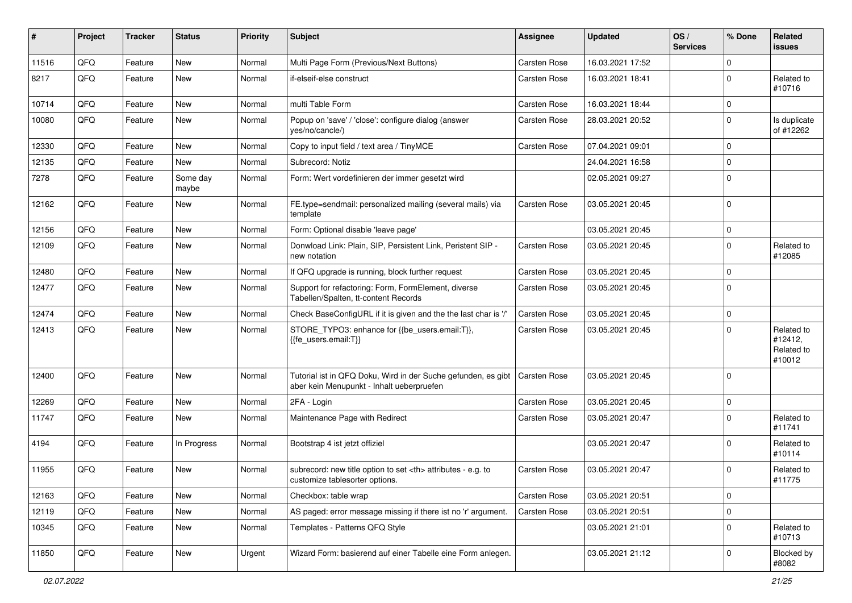| ∦     | Project | <b>Tracker</b> | <b>Status</b>     | <b>Priority</b> | <b>Subject</b>                                                                                             | <b>Assignee</b>                                        | <b>Updated</b>      | OS/<br><b>Services</b> | % Done         | Related<br>issues                             |                      |
|-------|---------|----------------|-------------------|-----------------|------------------------------------------------------------------------------------------------------------|--------------------------------------------------------|---------------------|------------------------|----------------|-----------------------------------------------|----------------------|
| 11516 | QFQ     | Feature        | <b>New</b>        | Normal          | Multi Page Form (Previous/Next Buttons)                                                                    | <b>Carsten Rose</b>                                    | 16.03.2021 17:52    |                        | 0              |                                               |                      |
| 8217  | QFQ     | Feature        | New               | Normal          | if-elseif-else construct                                                                                   | Carsten Rose                                           | 16.03.2021 18:41    |                        | $\mathbf 0$    | Related to<br>#10716                          |                      |
| 10714 | QFQ     | Feature        | <b>New</b>        | Normal          | multi Table Form                                                                                           | <b>Carsten Rose</b>                                    | 16.03.2021 18:44    |                        | 0              |                                               |                      |
| 10080 | QFQ     | Feature        | <b>New</b>        | Normal          | Popup on 'save' / 'close': configure dialog (answer<br>yes/no/cancle/)                                     | Carsten Rose                                           | 28.03.2021 20:52    |                        | $\mathbf 0$    | Is duplicate<br>of #12262                     |                      |
| 12330 | QFQ     | Feature        | <b>New</b>        | Normal          | Copy to input field / text area / TinyMCE                                                                  | <b>Carsten Rose</b>                                    | 07.04.2021 09:01    |                        | $\mathbf 0$    |                                               |                      |
| 12135 | QFQ     | Feature        | <b>New</b>        | Normal          | Subrecord: Notiz                                                                                           |                                                        | 24.04.2021 16:58    |                        | 0              |                                               |                      |
| 7278  | QFQ     | Feature        | Some day<br>maybe | Normal          | Form: Wert vordefinieren der immer gesetzt wird                                                            |                                                        | 02.05.2021 09:27    |                        | $\mathbf 0$    |                                               |                      |
| 12162 | QFQ     | Feature        | <b>New</b>        | Normal          | FE.type=sendmail: personalized mailing (several mails) via<br>template                                     | <b>Carsten Rose</b>                                    | 03.05.2021 20:45    |                        | $\Omega$       |                                               |                      |
| 12156 | QFQ     | Feature        | <b>New</b>        | Normal          | Form: Optional disable 'leave page'                                                                        |                                                        | 03.05.2021 20:45    |                        | $\mathbf 0$    |                                               |                      |
| 12109 | QFQ     | Feature        | <b>New</b>        | Normal          | Donwload Link: Plain, SIP, Persistent Link, Peristent SIP -<br>new notation                                | <b>Carsten Rose</b>                                    | 03.05.2021 20:45    |                        | $\Omega$       | Related to<br>#12085                          |                      |
| 12480 | QFQ     | Feature        | <b>New</b>        | Normal          | If QFQ upgrade is running, block further request                                                           | <b>Carsten Rose</b>                                    | 03.05.2021 20:45    |                        | $\mathbf 0$    |                                               |                      |
| 12477 | QFQ     | Feature        | <b>New</b>        | Normal          | Support for refactoring: Form, FormElement, diverse<br>Tabellen/Spalten, tt-content Records                | Carsten Rose                                           | 03.05.2021 20:45    |                        | $\mathbf 0$    |                                               |                      |
| 12474 | QFQ     | Feature        | New               | Normal          | Check BaseConfigURL if it is given and the the last char is '/'                                            | <b>Carsten Rose</b>                                    | 03.05.2021 20:45    |                        | $\mathbf 0$    |                                               |                      |
| 12413 | QFQ     | Feature        | <b>New</b>        | Normal          | STORE_TYPO3: enhance for {{be_users.email:T}},<br>{{fe_users.email:T}}                                     | Carsten Rose                                           | 03.05.2021 20:45    |                        | $\Omega$       | Related to<br>#12412,<br>Related to<br>#10012 |                      |
| 12400 | QFQ     | Feature        | <b>New</b>        | Normal          | Tutorial ist in QFQ Doku, Wird in der Suche gefunden, es gibt<br>aber kein Menupunkt - Inhalt ueberpruefen | <b>Carsten Rose</b>                                    | 03.05.2021 20:45    |                        | $\Omega$       |                                               |                      |
| 12269 | QFQ     | Feature        | <b>New</b>        | Normal          | 2FA - Login                                                                                                | <b>Carsten Rose</b>                                    | 03.05.2021 20:45    |                        | $\mathbf 0$    |                                               |                      |
| 11747 | QFQ     | Feature        | <b>New</b>        | Normal          | Maintenance Page with Redirect                                                                             | Carsten Rose                                           | 03.05.2021 20:47    |                        | $\mathbf 0$    | Related to<br>#11741                          |                      |
| 4194  | QFQ     | Feature        | In Progress       | Normal          | Bootstrap 4 ist jetzt offiziel                                                                             |                                                        | 03.05.2021 20:47    |                        | $\mathbf 0$    | Related to<br>#10114                          |                      |
| 11955 | QFQ     | Feature        | <b>New</b>        | Normal          | subrecord: new title option to set <th> attributes - e.g. to<br/>customize tablesorter options.</th>       | attributes - e.g. to<br>customize tablesorter options. | <b>Carsten Rose</b> | 03.05.2021 20:47       |                | $\mathbf 0$                                   | Related to<br>#11775 |
| 12163 | QFQ     | Feature        | New               | Normal          | Checkbox: table wrap                                                                                       | Carsten Rose                                           | 03.05.2021 20:51    |                        | $\overline{0}$ |                                               |                      |
| 12119 | QFO     | Feature        | New               | Normal          | AS paged: error message missing if there ist no 'r' argument.                                              | Carsten Rose                                           | 03.05.2021 20:51    |                        | $\mathbf 0$    |                                               |                      |
| 10345 | QFQ     | Feature        | New               | Normal          | Templates - Patterns QFQ Style                                                                             |                                                        | 03.05.2021 21:01    |                        | $\mathbf 0$    | Related to<br>#10713                          |                      |
| 11850 | QFG     | Feature        | New               | Urgent          | Wizard Form: basierend auf einer Tabelle eine Form anlegen.                                                |                                                        | 03.05.2021 21:12    |                        | $\mathbf 0$    | Blocked by<br>#8082                           |                      |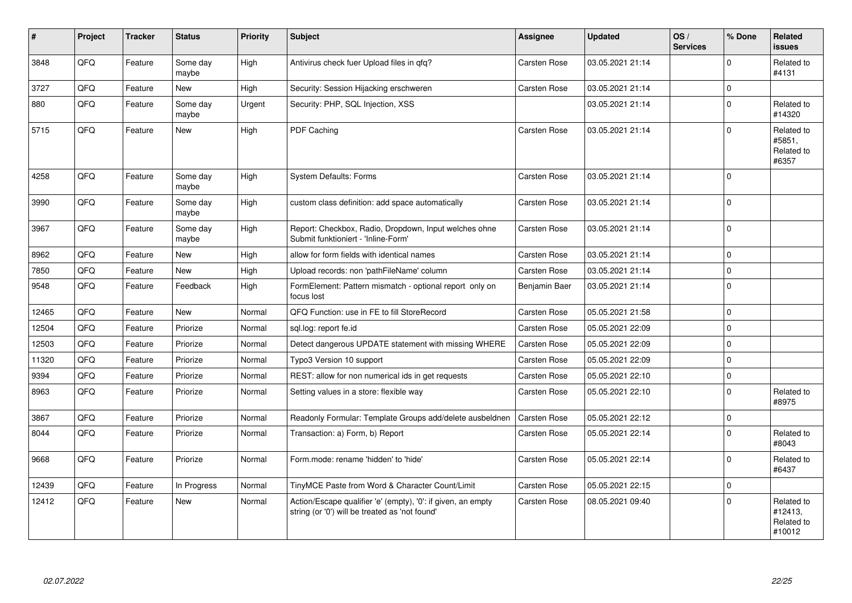| $\vert$ # | Project | <b>Tracker</b> | <b>Status</b>     | Priority | <b>Subject</b>                                                                                                 | Assignee            | <b>Updated</b>   | OS/<br><b>Services</b> | % Done      | Related<br><b>issues</b>                      |
|-----------|---------|----------------|-------------------|----------|----------------------------------------------------------------------------------------------------------------|---------------------|------------------|------------------------|-------------|-----------------------------------------------|
| 3848      | QFQ     | Feature        | Some day<br>maybe | High     | Antivirus check fuer Upload files in qfq?                                                                      | <b>Carsten Rose</b> | 03.05.2021 21:14 |                        | $\Omega$    | Related to<br>#4131                           |
| 3727      | QFQ     | Feature        | <b>New</b>        | High     | Security: Session Hijacking erschweren                                                                         | <b>Carsten Rose</b> | 03.05.2021 21:14 |                        | $\mathbf 0$ |                                               |
| 880       | QFQ     | Feature        | Some day<br>maybe | Urgent   | Security: PHP, SQL Injection, XSS                                                                              |                     | 03.05.2021 21:14 |                        | $\Omega$    | Related to<br>#14320                          |
| 5715      | QFQ     | Feature        | <b>New</b>        | High     | PDF Caching                                                                                                    | <b>Carsten Rose</b> | 03.05.2021 21:14 |                        | $\Omega$    | Related to<br>#5851,<br>Related to<br>#6357   |
| 4258      | QFQ     | Feature        | Some day<br>maybe | High     | <b>System Defaults: Forms</b>                                                                                  | Carsten Rose        | 03.05.2021 21:14 |                        | $\Omega$    |                                               |
| 3990      | QFQ     | Feature        | Some day<br>maybe | High     | custom class definition: add space automatically                                                               | Carsten Rose        | 03.05.2021 21:14 |                        | $\mathbf 0$ |                                               |
| 3967      | QFQ     | Feature        | Some day<br>maybe | High     | Report: Checkbox, Radio, Dropdown, Input welches ohne<br>Submit funktioniert - 'Inline-Form'                   | Carsten Rose        | 03.05.2021 21:14 |                        | $\Omega$    |                                               |
| 8962      | QFQ     | Feature        | <b>New</b>        | High     | allow for form fields with identical names                                                                     | <b>Carsten Rose</b> | 03.05.2021 21:14 |                        | $\Omega$    |                                               |
| 7850      | QFQ     | Feature        | New               | High     | Upload records: non 'pathFileName' column                                                                      | Carsten Rose        | 03.05.2021 21:14 |                        | $\Omega$    |                                               |
| 9548      | QFQ     | Feature        | Feedback          | High     | FormElement: Pattern mismatch - optional report only on<br>focus lost                                          | Benjamin Baer       | 03.05.2021 21:14 |                        | $\Omega$    |                                               |
| 12465     | QFQ     | Feature        | <b>New</b>        | Normal   | QFQ Function: use in FE to fill StoreRecord                                                                    | <b>Carsten Rose</b> | 05.05.2021 21:58 |                        | $\Omega$    |                                               |
| 12504     | QFQ     | Feature        | Priorize          | Normal   | sql.log: report fe.id                                                                                          | <b>Carsten Rose</b> | 05.05.2021 22:09 |                        | $\Omega$    |                                               |
| 12503     | QFQ     | Feature        | Priorize          | Normal   | Detect dangerous UPDATE statement with missing WHERE                                                           | Carsten Rose        | 05.05.2021 22:09 |                        | $\Omega$    |                                               |
| 11320     | QFQ     | Feature        | Priorize          | Normal   | Typo3 Version 10 support                                                                                       | <b>Carsten Rose</b> | 05.05.2021 22:09 |                        | $\Omega$    |                                               |
| 9394      | QFQ     | Feature        | Priorize          | Normal   | REST: allow for non numerical ids in get requests                                                              | Carsten Rose        | 05.05.2021 22:10 |                        | $\Omega$    |                                               |
| 8963      | QFQ     | Feature        | Priorize          | Normal   | Setting values in a store: flexible way                                                                        | Carsten Rose        | 05.05.2021 22:10 |                        | $\Omega$    | Related to<br>#8975                           |
| 3867      | QFQ     | Feature        | Priorize          | Normal   | Readonly Formular: Template Groups add/delete ausbeldnen                                                       | Carsten Rose        | 05.05.2021 22:12 |                        | $\Omega$    |                                               |
| 8044      | QFQ     | Feature        | Priorize          | Normal   | Transaction: a) Form, b) Report                                                                                | Carsten Rose        | 05.05.2021 22:14 |                        | $\Omega$    | Related to<br>#8043                           |
| 9668      | QFQ     | Feature        | Priorize          | Normal   | Form.mode: rename 'hidden' to 'hide'                                                                           | Carsten Rose        | 05.05.2021 22:14 |                        | $\Omega$    | Related to<br>#6437                           |
| 12439     | QFQ     | Feature        | In Progress       | Normal   | TinyMCE Paste from Word & Character Count/Limit                                                                | <b>Carsten Rose</b> | 05.05.2021 22:15 |                        | $\Omega$    |                                               |
| 12412     | QFQ     | Feature        | New               | Normal   | Action/Escape qualifier 'e' (empty), '0': if given, an empty<br>string (or '0') will be treated as 'not found' | Carsten Rose        | 08.05.2021 09:40 |                        | $\Omega$    | Related to<br>#12413.<br>Related to<br>#10012 |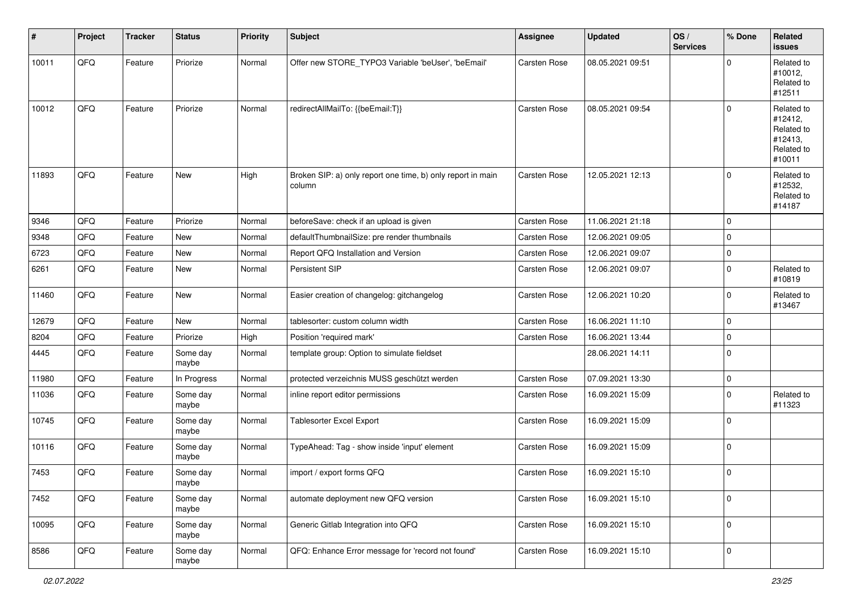| $\vert$ # | Project | <b>Tracker</b> | <b>Status</b>     | <b>Priority</b> | <b>Subject</b>                                                        | <b>Assignee</b>     | <b>Updated</b>   | OS/<br><b>Services</b> | % Done         | Related<br><b>issues</b>                                               |
|-----------|---------|----------------|-------------------|-----------------|-----------------------------------------------------------------------|---------------------|------------------|------------------------|----------------|------------------------------------------------------------------------|
| 10011     | QFO     | Feature        | Priorize          | Normal          | Offer new STORE_TYPO3 Variable 'beUser', 'beEmail'                    | Carsten Rose        | 08.05.2021 09:51 |                        | 0              | Related to<br>#10012,<br>Related to<br>#12511                          |
| 10012     | QFQ     | Feature        | Priorize          | Normal          | redirectAllMailTo: {{beEmail:T}}                                      | <b>Carsten Rose</b> | 08.05.2021 09:54 |                        | $\Omega$       | Related to<br>#12412,<br>Related to<br>#12413,<br>Related to<br>#10011 |
| 11893     | QFQ     | Feature        | <b>New</b>        | High            | Broken SIP: a) only report one time, b) only report in main<br>column | Carsten Rose        | 12.05.2021 12:13 |                        | $\Omega$       | Related to<br>#12532,<br>Related to<br>#14187                          |
| 9346      | QFQ     | Feature        | Priorize          | Normal          | beforeSave: check if an upload is given                               | <b>Carsten Rose</b> | 11.06.2021 21:18 |                        | $\mathbf 0$    |                                                                        |
| 9348      | QFQ     | Feature        | New               | Normal          | defaultThumbnailSize: pre render thumbnails                           | Carsten Rose        | 12.06.2021 09:05 |                        | 0              |                                                                        |
| 6723      | QFQ     | Feature        | <b>New</b>        | Normal          | Report QFQ Installation and Version                                   | <b>Carsten Rose</b> | 12.06.2021 09:07 |                        | 0              |                                                                        |
| 6261      | QFQ     | Feature        | New               | Normal          | Persistent SIP                                                        | Carsten Rose        | 12.06.2021 09:07 |                        | $\mathbf 0$    | Related to<br>#10819                                                   |
| 11460     | QFQ     | Feature        | New               | Normal          | Easier creation of changelog: gitchangelog                            | Carsten Rose        | 12.06.2021 10:20 |                        | $\mathbf 0$    | Related to<br>#13467                                                   |
| 12679     | QFQ     | Feature        | <b>New</b>        | Normal          | tablesorter: custom column width                                      | <b>Carsten Rose</b> | 16.06.2021 11:10 |                        | $\mathbf 0$    |                                                                        |
| 8204      | QFQ     | Feature        | Priorize          | High            | Position 'required mark'                                              | <b>Carsten Rose</b> | 16.06.2021 13:44 |                        | $\mathbf 0$    |                                                                        |
| 4445      | QFQ     | Feature        | Some day<br>maybe | Normal          | template group: Option to simulate fieldset                           |                     | 28.06.2021 14:11 |                        | $\overline{0}$ |                                                                        |
| 11980     | QFQ     | Feature        | In Progress       | Normal          | protected verzeichnis MUSS geschützt werden                           | <b>Carsten Rose</b> | 07.09.2021 13:30 |                        | $\mathbf 0$    |                                                                        |
| 11036     | QFQ     | Feature        | Some day<br>maybe | Normal          | inline report editor permissions                                      | <b>Carsten Rose</b> | 16.09.2021 15:09 |                        | $\Omega$       | Related to<br>#11323                                                   |
| 10745     | QFQ     | Feature        | Some day<br>maybe | Normal          | Tablesorter Excel Export                                              | <b>Carsten Rose</b> | 16.09.2021 15:09 |                        | $\Omega$       |                                                                        |
| 10116     | QFQ     | Feature        | Some day<br>maybe | Normal          | TypeAhead: Tag - show inside 'input' element                          | Carsten Rose        | 16.09.2021 15:09 |                        | $\mathbf 0$    |                                                                        |
| 7453      | QFQ     | Feature        | Some day<br>maybe | Normal          | import / export forms QFQ                                             | Carsten Rose        | 16.09.2021 15:10 |                        | $\Omega$       |                                                                        |
| 7452      | QFQ     | Feature        | Some day<br>maybe | Normal          | automate deployment new QFQ version                                   | Carsten Rose        | 16.09.2021 15:10 |                        | $\overline{0}$ |                                                                        |
| 10095     | QFO     | Feature        | Some day<br>maybe | Normal          | Generic Gitlab Integration into QFQ                                   | Carsten Rose        | 16.09.2021 15:10 |                        | $\mathbf 0$    |                                                                        |
| 8586      | QFO     | Feature        | Some day<br>maybe | Normal          | QFQ: Enhance Error message for 'record not found'                     | Carsten Rose        | 16.09.2021 15:10 |                        | $\overline{0}$ |                                                                        |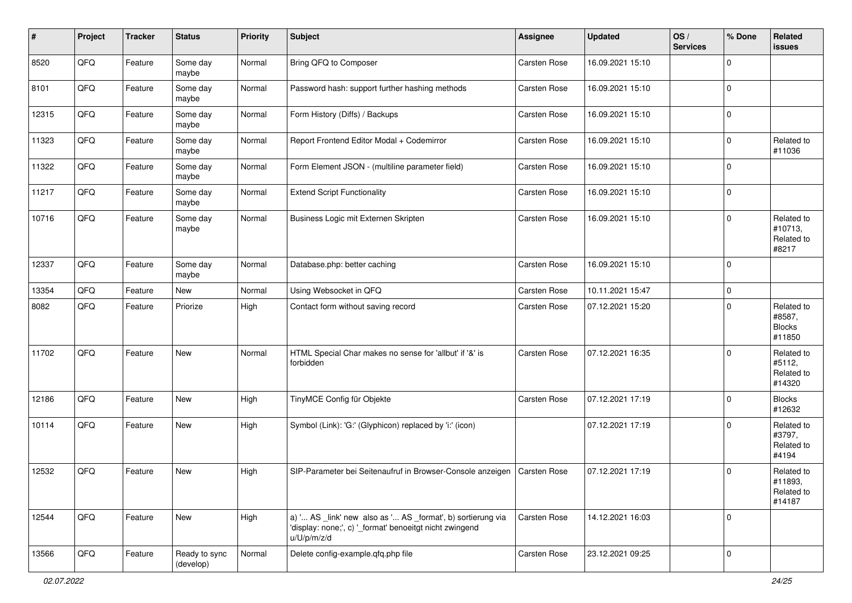| #     | Project | <b>Tracker</b> | <b>Status</b>              | <b>Priority</b> | <b>Subject</b>                                                                                                                        | <b>Assignee</b>     | <b>Updated</b>   | OS/<br><b>Services</b> | % Done         | Related<br><b>issues</b>                        |
|-------|---------|----------------|----------------------------|-----------------|---------------------------------------------------------------------------------------------------------------------------------------|---------------------|------------------|------------------------|----------------|-------------------------------------------------|
| 8520  | QFQ     | Feature        | Some day<br>maybe          | Normal          | Bring QFQ to Composer                                                                                                                 | Carsten Rose        | 16.09.2021 15:10 |                        | $\Omega$       |                                                 |
| 8101  | QFQ     | Feature        | Some day<br>maybe          | Normal          | Password hash: support further hashing methods                                                                                        | Carsten Rose        | 16.09.2021 15:10 |                        | $\mathbf 0$    |                                                 |
| 12315 | QFQ     | Feature        | Some day<br>maybe          | Normal          | Form History (Diffs) / Backups                                                                                                        | Carsten Rose        | 16.09.2021 15:10 |                        | 0              |                                                 |
| 11323 | QFQ     | Feature        | Some day<br>maybe          | Normal          | Report Frontend Editor Modal + Codemirror                                                                                             | Carsten Rose        | 16.09.2021 15:10 |                        | 0              | Related to<br>#11036                            |
| 11322 | QFQ     | Feature        | Some day<br>maybe          | Normal          | Form Element JSON - (multiline parameter field)                                                                                       | Carsten Rose        | 16.09.2021 15:10 |                        | $\Omega$       |                                                 |
| 11217 | QFQ     | Feature        | Some day<br>maybe          | Normal          | <b>Extend Script Functionality</b>                                                                                                    | Carsten Rose        | 16.09.2021 15:10 |                        | $\Omega$       |                                                 |
| 10716 | QFQ     | Feature        | Some day<br>maybe          | Normal          | Business Logic mit Externen Skripten                                                                                                  | Carsten Rose        | 16.09.2021 15:10 |                        | $\Omega$       | Related to<br>#10713,<br>Related to<br>#8217    |
| 12337 | QFQ     | Feature        | Some day<br>maybe          | Normal          | Database.php: better caching                                                                                                          | Carsten Rose        | 16.09.2021 15:10 |                        | $\Omega$       |                                                 |
| 13354 | QFQ     | Feature        | <b>New</b>                 | Normal          | Using Websocket in QFQ                                                                                                                | <b>Carsten Rose</b> | 10.11.2021 15:47 |                        | $\mathbf 0$    |                                                 |
| 8082  | QFQ     | Feature        | Priorize                   | High            | Contact form without saving record                                                                                                    | Carsten Rose        | 07.12.2021 15:20 |                        | $\Omega$       | Related to<br>#8587,<br><b>Blocks</b><br>#11850 |
| 11702 | QFQ     | Feature        | New                        | Normal          | HTML Special Char makes no sense for 'allbut' if '&' is<br>forbidden                                                                  | Carsten Rose        | 07.12.2021 16:35 |                        | $\Omega$       | Related to<br>#5112,<br>Related to<br>#14320    |
| 12186 | QFQ     | Feature        | <b>New</b>                 | High            | TinyMCE Config für Objekte                                                                                                            | <b>Carsten Rose</b> | 07.12.2021 17:19 |                        | $\Omega$       | <b>Blocks</b><br>#12632                         |
| 10114 | QFQ     | Feature        | <b>New</b>                 | High            | Symbol (Link): 'G:' (Glyphicon) replaced by 'i:' (icon)                                                                               |                     | 07.12.2021 17:19 |                        | $\Omega$       | Related to<br>#3797,<br>Related to<br>#4194     |
| 12532 | QFQ     | Feature        | <b>New</b>                 | High            | SIP-Parameter bei Seitenaufruf in Browser-Console anzeigen   Carsten Rose                                                             |                     | 07.12.2021 17:19 |                        | $\Omega$       | Related to<br>#11893,<br>Related to<br>#14187   |
| 12544 | QFG     | Feature        | New                        | High            | a) ' AS _link' new also as ' AS _format', b) sortierung via<br>'display: none;', c) '_format' benoeitgt nicht zwingend<br>u/U/p/m/z/d | Carsten Rose        | 14.12.2021 16:03 |                        | $\overline{0}$ |                                                 |
| 13566 | QFO     | Feature        | Ready to sync<br>(develop) | Normal          | Delete config-example.qfq.php file                                                                                                    | Carsten Rose        | 23.12.2021 09:25 |                        | 0              |                                                 |